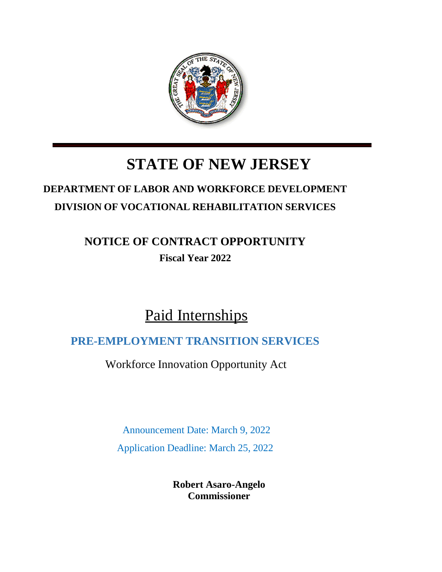

# **STATE OF NEW JERSEY**

# **DEPARTMENT OF LABOR AND WORKFORCE DEVELOPMENT DIVISION OF VOCATIONAL REHABILITATION SERVICES**

# **NOTICE OF CONTRACT OPPORTUNITY Fiscal Year 2022**

# Paid Internships

## **PRE-EMPLOYMENT TRANSITION SERVICES**

Workforce Innovation Opportunity Act

Announcement Date: March 9, 2022

Application Deadline: March 25, 2022

**Robert Asaro-Angelo Commissioner**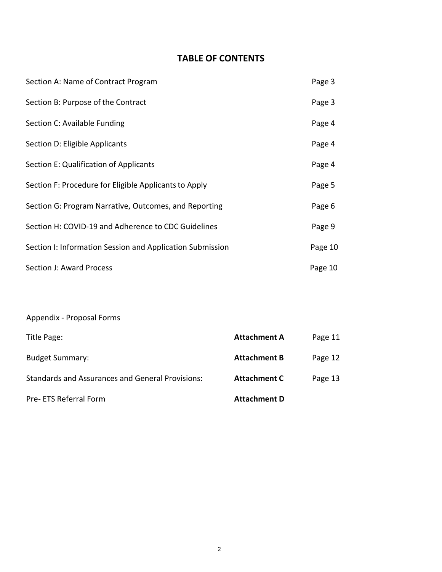## **TABLE OF CONTENTS**

| Section A: Name of Contract Program                       | Page 3  |
|-----------------------------------------------------------|---------|
| Section B: Purpose of the Contract                        | Page 3  |
| Section C: Available Funding                              | Page 4  |
| Section D: Eligible Applicants                            | Page 4  |
| Section E: Qualification of Applicants                    | Page 4  |
| Section F: Procedure for Eligible Applicants to Apply     | Page 5  |
| Section G: Program Narrative, Outcomes, and Reporting     | Page 6  |
| Section H: COVID-19 and Adherence to CDC Guidelines       | Page 9  |
| Section I: Information Session and Application Submission | Page 10 |
| <b>Section J: Award Process</b>                           | Page 10 |

## Appendix - Proposal Forms

| Title Page:                                             | <b>Attachment A</b> | Page 11 |
|---------------------------------------------------------|---------------------|---------|
| <b>Budget Summary:</b>                                  | <b>Attachment B</b> | Page 12 |
| <b>Standards and Assurances and General Provisions:</b> | <b>Attachment C</b> | Page 13 |
| Pre- ETS Referral Form                                  | <b>Attachment D</b> |         |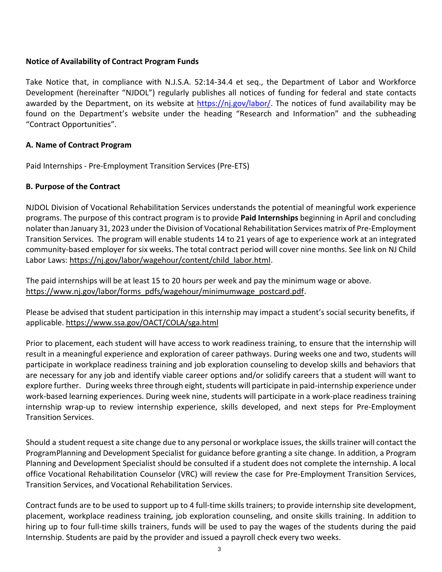## **Notice of Availability of Contract Program Funds**

Take Notice that, in compliance with N.J.S.A. 52:14-34.4 et seq., the Department of Labor and Workforce Development (hereinafter "NJDOL") regularly publishes all notices of funding for federal and state contacts awarded by the Department, on its website at [https://nj.gov/labor/.](https://nj.gov/labor/) The notices of fund availability may be found on the Department's website under the heading "Research and Information" and the subheading "Contract Opportunities".

## **A. Name of Contract Program**

Paid Internships - Pre-Employment Transition Services (Pre-ETS)

## **B. Purpose of the Contract**

NJDOL Division of Vocational Rehabilitation Services understands the potential of meaningful work experience programs. The purpose of this contract program is to provide **Paid Internships** beginning in April and concluding nolater than January 31, 2023 under the Division of Vocational Rehabilitation Services matrix of Pre-Employment Transition Services. The program will enable students 14 to 21 years of age to experience work at an integrated community-based employer for six weeks. The total contract period will cover nine months. See link on NJ Child Labor Laws: [https://nj.gov/labor/wagehour/content/child\\_labor.html.](https://nj.gov/labor/wagehour/content/child_labor.html)

The paid internships will be at least 15 to 20 hours per week and pay the minimum wage or above. [https://www.nj.gov/labor/forms\\_pdfs/wagehour/minimumwage\\_postcard.pdf.](https://www.nj.gov/labor/forms_pdfs/wagehour/minimumwage_postcard.pdf)

Please be advised that student participation in this internship may impact a student's social security benefits, if applicable. <https://www.ssa.gov/OACT/COLA/sga.html>

Prior to placement, each student will have access to work readiness training, to ensure that the internship will result in a meaningful experience and exploration of career pathways. During weeks one and two, students will participate in workplace readiness training and job exploration counseling to develop skills and behaviors that are necessary for any job and identify viable career options and/or solidify careers that a student will want to explore further. During weeks three through eight, students will participate in paid-internship experience under work-based learning experiences. During week nine, students will participate in a work-place readiness training internship wrap-up to review internship experience, skills developed, and next steps for Pre-Employment Transition Services.

Should a student request a site change due to any personal or workplace issues, the skills trainer will contact the ProgramPlanning and Development Specialist for guidance before granting a site change. In addition, a Program Planning and Development Specialist should be consulted if a student does not complete the internship. A local office Vocational Rehabilitation Counselor (VRC) will review the case for Pre-Employment Transition Services, Transition Services, and Vocational Rehabilitation Services.

Contract funds are to be used to support up to 4 full-time skills trainers; to provide internship site development, placement, workplace readiness training, job exploration counseling, and onsite skills training. In addition to hiring up to four full-time skills trainers, funds will be used to pay the wages of the students during the paid Internship. Students are paid by the provider and issued a payroll check every two weeks.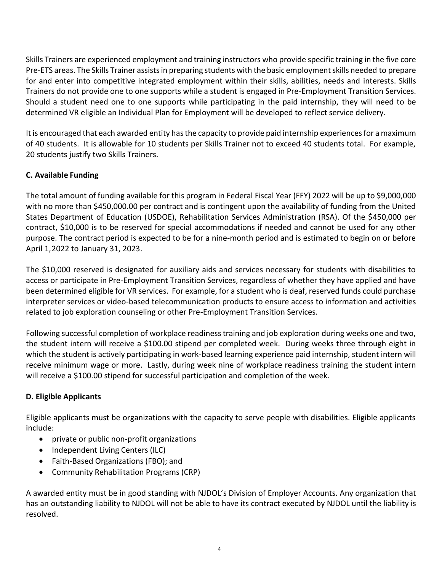Skills Trainers are experienced employment and training instructors who provide specific training in the five core Pre-ETS areas. The Skills Trainer assists in preparing students with the basic employment skills needed to prepare for and enter into competitive integrated employment within their skills, abilities, needs and interests. Skills Trainers do not provide one to one supports while a student is engaged in Pre-Employment Transition Services. Should a student need one to one supports while participating in the paid internship, they will need to be determined VR eligible an Individual Plan for Employment will be developed to reflect service delivery.

It is encouraged that each awarded entity hasthe capacity to provide paid internship experiencesfor a maximum of 40 students. It is allowable for 10 students per Skills Trainer not to exceed 40 students total. For example, 20 students justify two Skills Trainers.

## **C. Available Funding**

The total amount of funding available for this program in Federal Fiscal Year (FFY) 2022 will be up to \$9,000,000 with no more than \$450,000.00 per contract and is contingent upon the availability of funding from the United States Department of Education (USDOE), Rehabilitation Services Administration (RSA). Of the \$450,000 per contract, \$10,000 is to be reserved for special accommodations if needed and cannot be used for any other purpose. The contract period is expected to be for a nine-month period and is estimated to begin on or before April 1,2022 to January 31, 2023.

The \$10,000 reserved is designated for auxiliary aids and services necessary for students with disabilities to access or participate in Pre-Employment Transition Services, regardless of whether they have applied and have been determined eligible for VR services. For example, for a student who is deaf, reserved funds could purchase interpreter services or video-based telecommunication products to ensure access to information and activities related to job exploration counseling or other Pre-Employment Transition Services.

Following successful completion of workplace readiness training and job exploration during weeks one and two, the student intern will receive a \$100.00 stipend per completed week. During weeks three through eight in which the student is actively participating in work-based learning experience paid internship, student intern will receive minimum wage or more. Lastly, during week nine of workplace readiness training the student intern will receive a \$100.00 stipend for successful participation and completion of the week.

## **D. Eligible Applicants**

Eligible applicants must be organizations with the capacity to serve people with disabilities. Eligible applicants include:

- private or public non-profit organizations
- Independent Living Centers (ILC)
- Faith-Based Organizations (FBO); and
- Community Rehabilitation Programs (CRP)

A awarded entity must be in good standing with NJDOL's Division of Employer Accounts. Any organization that has an outstanding liability to NJDOL will not be able to have its contract executed by NJDOL until the liability is resolved.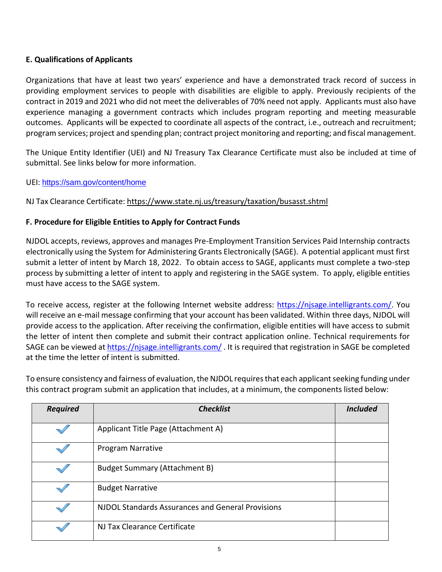## **E. Qualifications of Applicants**

Organizations that have at least two years' experience and have a demonstrated track record of success in providing employment services to people with disabilities are eligible to apply. Previously recipients of the contract in 2019 and 2021 who did not meet the deliverables of 70% need not apply. Applicants must also have experience managing a government contracts which includes program reporting and meeting measurable outcomes. Applicants will be expected to coordinate all aspects of the contract, i.e., outreach and recruitment; program services; project and spending plan; contract project monitoring and reporting; and fiscal management.

The Unique Entity Identifier (UEI) and NJ Treasury Tax Clearance Certificate must also be included at time of submittal. See links below for more information.

UEI: <https://sam.gov/content/home>

NJ Tax Clearance Certificate: <https://www.state.nj.us/treasury/taxation/busasst.shtml>

## **F. Procedure for Eligible Entities to Apply for Contract Funds**

NJDOL accepts, reviews, approves and manages Pre-Employment Transition Services Paid Internship contracts electronically using the System for Administering Grants Electronically (SAGE). A potential applicant must first submit a letter of intent by March 18, 2022. To obtain access to SAGE, applicants must complete a two-step process by submitting a letter of intent to apply and registering in the SAGE system. To apply, eligible entities must have access to the SAGE system.

To receive access, register at the following Internet website address: [https://njsage.intelligrants.com/.](https://njsage.intelligrants.com/) You will receive an e-mail message confirming that your account has been validated. Within three days, NJDOL will provide access to the application. After receiving the confirmation, eligible entities will have access to submit the letter of intent then complete and submit their contract application online. Technical requirements for SAGE can be viewed a[t https://njsage.intelligrants.com/](https://njsage.intelligrants.com/) . It is required that registration in SAGE be completed at the time the letter of intent is submitted.

To ensure consistency and fairness of evaluation, the NJDOL requires that each applicant seeking funding under this contract program submit an application that includes, at a minimum, the components listed below:

| <b>Required</b> | <b>Checklist</b>                                  | <b>Included</b> |
|-----------------|---------------------------------------------------|-----------------|
|                 | Applicant Title Page (Attachment A)               |                 |
|                 | Program Narrative                                 |                 |
|                 | <b>Budget Summary (Attachment B)</b>              |                 |
|                 | <b>Budget Narrative</b>                           |                 |
|                 | NJDOL Standards Assurances and General Provisions |                 |
|                 | NJ Tax Clearance Certificate                      |                 |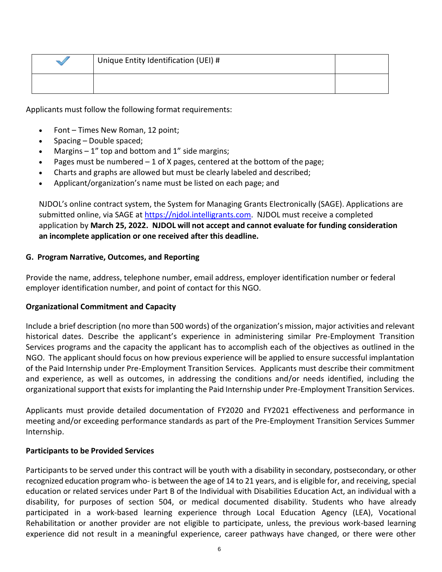| Unique Entity Identification (UEI) # |  |
|--------------------------------------|--|
|                                      |  |

Applicants must follow the following format requirements:

- Font Times New Roman, 12 point;
- Spacing Double spaced;
- Margins  $-1$ " top and bottom and 1" side margins;
- Pages must be numbered  $-1$  of X pages, centered at the bottom of the page;
- Charts and graphs are allowed but must be clearly labeled and described;
- Applicant/organization's name must be listed on each page; and

NJDOL's online contract system, the System for Managing Grants Electronically (SAGE). Applications are submitted online, via SAGE at [https://njdol.intelligrants.com.](https://njdol.intelligrants.com/) NJDOL must receive a completed application by **March 25, 2022. NJDOL will not accept and cannot evaluate for funding consideration an incomplete application or one received after this deadline.**

## **G. Program Narrative, Outcomes, and Reporting**

Provide the name, address, telephone number, email address, employer identification number or federal employer identification number, and point of contact for this NGO.

## **Organizational Commitment and Capacity**

Include a brief description (no more than 500 words) of the organization's mission, major activities and relevant historical dates. Describe the applicant's experience in administering similar Pre-Employment Transition Services programs and the capacity the applicant has to accomplish each of the objectives as outlined in the NGO. The applicant should focus on how previous experience will be applied to ensure successful implantation of the Paid Internship under Pre-Employment Transition Services. Applicants must describe their commitment and experience, as well as outcomes, in addressing the conditions and/or needs identified, including the organizational support that exists for implanting the Paid Internship under Pre-Employment Transition Services.

Applicants must provide detailed documentation of FY2020 and FY2021 effectiveness and performance in meeting and/or exceeding performance standards as part of the Pre-Employment Transition Services Summer Internship.

## **Participants to be Provided Services**

Participants to be served under this contract will be youth with a disability in secondary, postsecondary, or other recognized education program who- is between the age of 14 to 21 years, and is eligible for, and receiving, special education or related services under Part B of the Individual with Disabilities Education Act, an individual with a disability, for purposes of section 504, or medical documented disability. Students who have already participated in a work-based learning experience through Local Education Agency (LEA), Vocational Rehabilitation or another provider are not eligible to participate, unless, the previous work-based learning experience did not result in a meaningful experience, career pathways have changed, or there were other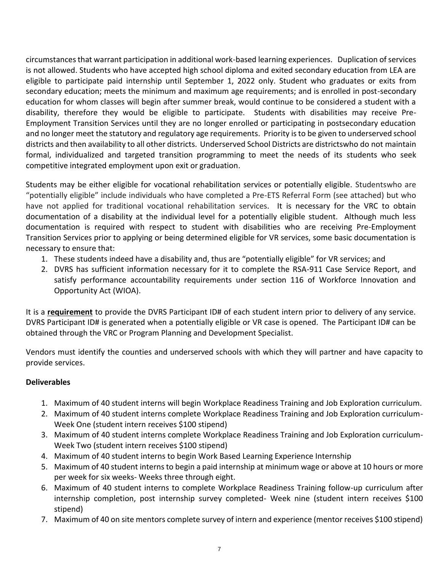circumstances that warrant participation in additional work-based learning experiences. Duplication of services is not allowed. Students who have accepted high school diploma and exited secondary education from LEA are eligible to participate paid internship until September 1, 2022 only. Student who graduates or exits from secondary education; meets the minimum and maximum age requirements; and is enrolled in post-secondary education for whom classes will begin after summer break, would continue to be considered a student with a disability, therefore they would be eligible to participate. Students with disabilities may receive Pre-Employment Transition Services until they are no longer enrolled or participating in postsecondary education and no longer meet the statutory and regulatory age requirements. Priority is to be given to underserved school districts and then availability to all other districts. Underserved School Districts are districtswho do not maintain formal, individualized and targeted transition programming to meet the needs of its students who seek competitive integrated employment upon exit or graduation.

Students may be either eligible for vocational rehabilitation services or potentially eligible. Studentswho are "potentially eligible" include individuals who have completed a Pre-ETS Referral Form (see attached) but who have not applied for traditional vocational rehabilitation services. It is necessary for the VRC to obtain documentation of a disability at the individual level for a potentially eligible student. Although much less documentation is required with respect to student with disabilities who are receiving Pre-Employment Transition Services prior to applying or being determined eligible for VR services, some basic documentation is necessary to ensure that:

- 1. These students indeed have a disability and, thus are "potentially eligible" for VR services; and
- 2. DVRS has sufficient information necessary for it to complete the RSA-911 Case Service Report, and satisfy performance accountability requirements under section 116 of Workforce Innovation and Opportunity Act (WIOA).

It is a **requirement** to provide the DVRS Participant ID# of each student intern prior to delivery of any service. DVRS Participant ID# is generated when a potentially eligible or VR case is opened. The Participant ID# can be obtained through the VRC or Program Planning and Development Specialist.

Vendors must identify the counties and underserved schools with which they will partner and have capacity to provide services.

## **Deliverables**

- 1. Maximum of 40 student interns will begin Workplace Readiness Training and Job Exploration curriculum.
- 2. Maximum of 40 student interns complete Workplace Readiness Training and Job Exploration curriculum-Week One (student intern receives \$100 stipend)
- 3. Maximum of 40 student interns complete Workplace Readiness Training and Job Exploration curriculum-Week Two (student intern receives \$100 stipend)
- 4. Maximum of 40 student interns to begin Work Based Learning Experience Internship
- 5. Maximum of 40 student interns to begin a paid internship at minimum wage or above at 10 hours or more per week for six weeks- Weeks three through eight.
- 6. Maximum of 40 student interns to complete Workplace Readiness Training follow-up curriculum after internship completion, post internship survey completed- Week nine (student intern receives \$100 stipend)
- 7. Maximum of 40 on site mentors complete survey of intern and experience (mentor receives \$100 stipend)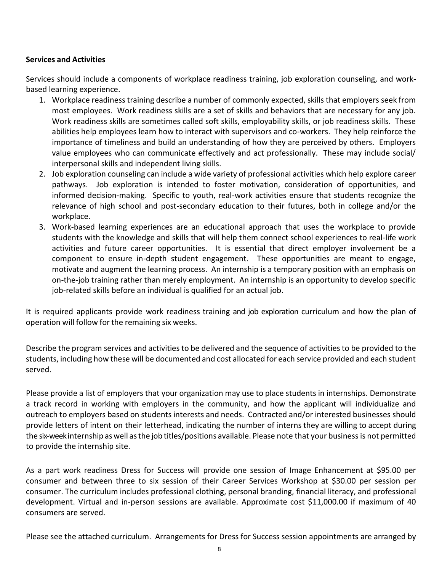## **Services and Activities**

Services should include a components of workplace readiness training, job exploration counseling, and workbased learning experience.

- 1. Workplace readiness training describe a number of commonly expected, skills that employers seek from most employees. Work readiness skills are a set of skills and behaviors that are necessary for any job. Work readiness skills are sometimes called soft skills, employability skills, or job readiness skills. These abilities help employees learn how to interact with supervisors and co-workers. They help reinforce the importance of timeliness and build an understanding of how they are perceived by others. Employers value employees who can communicate effectively and act professionally. These may include social/ interpersonal skills and independent living skills.
- 2. Job exploration counseling can include a wide variety of professional activities which help explore career pathways. Job exploration is intended to foster motivation, consideration of opportunities, and informed decision-making. Specific to youth, real-work activities ensure that students recognize the relevance of high school and post-secondary education to their futures, both in college and/or the workplace.
- 3. Work-based learning experiences are an educational approach that uses the workplace to provide students with the knowledge and skills that will help them connect school experiences to real-life work activities and future career opportunities. It is essential that direct employer involvement be a component to ensure in-depth student engagement. These opportunities are meant to engage, motivate and augment the learning process. An internship is a temporary position with an emphasis on on-the-job training rather than merely employment. An internship is an opportunity to develop specific job-related skills before an individual is qualified for an actual job.

It is required applicants provide work readiness training and job exploration curriculum and how the plan of operation will follow for the remaining six weeks.

Describe the program services and activities to be delivered and the sequence of activitiesto be provided to the students, including how these will be documented and cost allocated for each service provided and each student served.

Please provide a list of employers that your organization may use to place students in internships. Demonstrate a track record in working with employers in the community, and how the applicant will individualize and outreach to employers based on students interests and needs. Contracted and/or interested businesses should provide letters of intent on their letterhead, indicating the number of interns they are willing to accept during the six-weekinternship as well asthe job titles/positions available. Please note that your businessis not permitted to provide the internship site.

As a part work readiness Dress for Success will provide one session of Image Enhancement at \$95.00 per consumer and between three to six session of their Career Services Workshop at \$30.00 per session per consumer. The curriculum includes professional clothing, personal branding, financial literacy, and professional development. Virtual and in-person sessions are available. Approximate cost \$11,000.00 if maximum of 40 consumers are served.

Please see the attached curriculum. Arrangements for Dress for Success session appointments are arranged by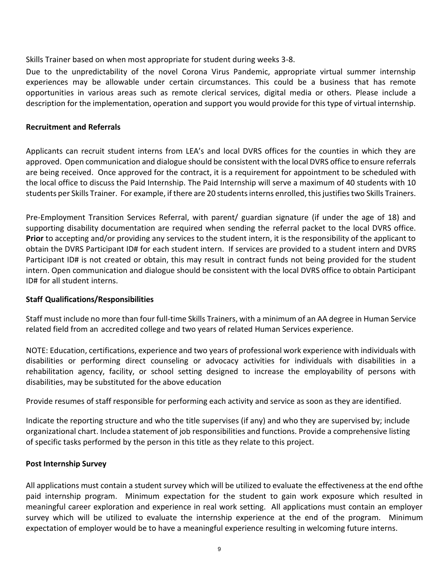Skills Trainer based on when most appropriate for student during weeks 3-8.

Due to the unpredictability of the novel Corona Virus Pandemic, appropriate virtual summer internship experiences may be allowable under certain circumstances. This could be a business that has remote opportunities in various areas such as remote clerical services, digital media or others. Please include a description for the implementation, operation and support you would provide for this type of virtual internship.

## **Recruitment and Referrals**

Applicants can recruit student interns from LEA's and local DVRS offices for the counties in which they are approved. Open communication and dialogue should be consistent with the local DVRS office to ensure referrals are being received. Once approved for the contract, it is a requirement for appointment to be scheduled with the local office to discuss the Paid Internship. The Paid Internship will serve a maximum of 40 students with 10 students per Skills Trainer. For example, if there are 20 students interns enrolled, this justifies two Skills Trainers.

Pre-Employment Transition Services Referral, with parent/ guardian signature (if under the age of 18) and supporting disability documentation are required when sending the referral packet to the local DVRS office. **Prior** to accepting and/or providing any services to the student intern, it is the responsibility of the applicant to obtain the DVRS Participant ID# for each student intern. If services are provided to a student intern and DVRS Participant ID# is not created or obtain, this may result in contract funds not being provided for the student intern. Open communication and dialogue should be consistent with the local DVRS office to obtain Participant ID# for all student interns.

## **Staff Qualifications/Responsibilities**

Staff must include no more than four full-time Skills Trainers, with a minimum of an AA degree in Human Service related field from an accredited college and two years of related Human Services experience.

NOTE: Education, certifications, experience and two years of professional work experience with individuals with disabilities or performing direct counseling or advocacy activities for individuals with disabilities in a rehabilitation agency, facility, or school setting designed to increase the employability of persons with disabilities, may be substituted for the above education

Provide resumes of staff responsible for performing each activity and service as soon as they are identified.

Indicate the reporting structure and who the title supervises (if any) and who they are supervised by; include organizational chart. Include a statement of job responsibilities and functions. Provide a comprehensive listing of specific tasks performed by the person in this title as they relate to this project.

## **Post Internship Survey**

All applications must contain a student survey which will be utilized to evaluate the effectiveness at the end ofthe paid internship program. Minimum expectation for the student to gain work exposure which resulted in meaningful career exploration and experience in real work setting. All applications must contain an employer survey which will be utilized to evaluate the internship experience at the end of the program. Minimum expectation of employer would be to have a meaningful experience resulting in welcoming future interns.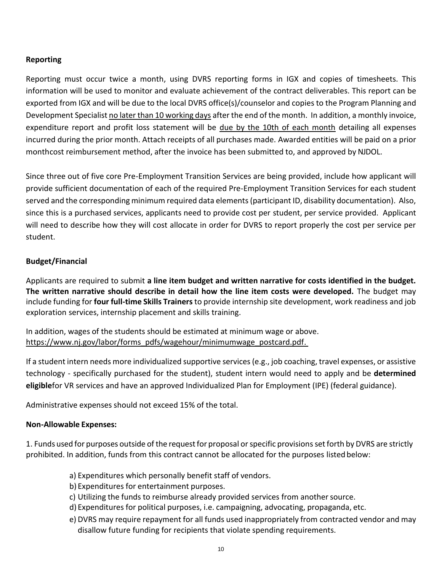## **Reporting**

Reporting must occur twice a month, using DVRS reporting forms in IGX and copies of timesheets. This information will be used to monitor and evaluate achievement of the contract deliverables. This report can be exported from IGX and will be due to the local DVRS office(s)/counselor and copies to the Program Planning and Development Specialist no later than 10 working days after the end of the month. In addition, a monthly invoice, expenditure report and profit loss statement will be due by the 10th of each month detailing all expenses incurred during the prior month. Attach receipts of all purchases made. Awarded entities will be paid on a prior monthcost reimbursement method, after the invoice has been submitted to, and approved by NJDOL.

Since three out of five core Pre-Employment Transition Services are being provided, include how applicant will provide sufficient documentation of each of the required Pre-Employment Transition Services for each student served and the corresponding minimum required data elements (participant ID, disability documentation). Also, since this is a purchased services, applicants need to provide cost per student, per service provided. Applicant will need to describe how they will cost allocate in order for DVRS to report properly the cost per service per student.

## **Budget/Financial**

Applicants are required to submit **a line item budget and written narrative for costs identified in the budget. The written narrative should describe in detail how the line item costs were developed.** The budget may include funding for **four full-time Skills Trainers** to provide internship site development, work readiness and job exploration services, internship placement and skills training.

In addition, wages of the students should be estimated at minimum wage or above. [https://www.nj.gov/labor/forms\\_pdfs/wagehour/minimumwage\\_postcard.pdf.](https://www.nj.gov/labor/forms_pdfs/wagehour/minimumwage_postcard.pdf)

If a student intern needs more individualized supportive services (e.g., job coaching, travel expenses, or assistive technology - specifically purchased for the student), student intern would need to apply and be **determined eligible**for VR services and have an approved Individualized Plan for Employment (IPE) (federal guidance).

Administrative expenses should not exceed 15% of the total.

## **Non-Allowable Expenses:**

1. Funds used for purposes outside of the request for proposal or specific provisions set forth by DVRS are strictly prohibited. In addition, funds from this contract cannot be allocated for the purposes listed below:

- a) Expenditures which personally benefit staff of vendors.
- b) Expenditures for entertainment purposes.
- c) Utilizing the funds to reimburse already provided services from another source.
- d) Expenditures for political purposes, i.e. campaigning, advocating, propaganda, etc.
- e) DVRS may require repayment for all funds used inappropriately from contracted vendor and may disallow future funding for recipients that violate spending requirements.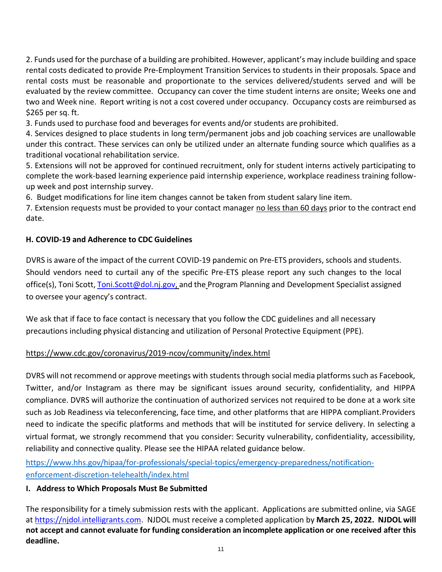2. Funds used for the purchase of a building are prohibited. However, applicant's may include building and space rental costs dedicated to provide Pre-Employment Transition Services to students in their proposals. Space and rental costs must be reasonable and proportionate to the services delivered/students served and will be evaluated by the review committee. Occupancy can cover the time student interns are onsite; Weeks one and two and Week nine. Report writing is not a cost covered under occupancy. Occupancy costs are reimbursed as \$265 per sq. ft.

3. Funds used to purchase food and beverages for events and/or students are prohibited.

4. Services designed to place students in long term/permanent jobs and job coaching services are unallowable under this contract. These services can only be utilized under an alternate funding source which qualifies as a traditional vocational rehabilitation service.

5. Extensions will not be approved for continued recruitment, only for student interns actively participating to complete the work-based learning experience paid internship experience, workplace readiness training followup week and post internship survey.

6. Budget modifications for line item changes cannot be taken from student salary line item.

7. Extension requests must be provided to your contact manager no less than 60 days prior to the contract end date.

## **H. COVID-19 and Adherence to CDC Guidelines**

DVRS is aware of the impact of the current COVID-19 pandemic on Pre-ETS providers, schools and students. Should vendors need to curtail any of the specific Pre-ETS please report any such changes to the local office(s), Toni Scott, [Toni.Scott@dol.nj.gov,](mailto:Toni.Scott@dol.nj.gov) and the Program Planning and Development Specialist assigned to oversee your agency's contract.

We ask that if face to face contact is necessary that you follow the CDC guidelines and all necessary precautions including physical distancing and utilization of Personal Protective Equipment (PPE).

## <https://www.cdc.gov/coronavirus/2019-ncov/community/index.html>

DVRS will not recommend or approve meetings with students through social media platforms such as Facebook, Twitter, and/or Instagram as there may be significant issues around security, confidentiality, and HIPPA compliance. DVRS will authorize the continuation of authorized services not required to be done at a work site such as Job Readiness via teleconferencing, face time, and other platforms that are HIPPA compliant.Providers need to indicate the specific platforms and methods that will be instituted for service delivery. In selecting a virtual format, we strongly recommend that you consider: Security vulnerability, confidentiality, accessibility, reliability and connective quality. Please see the HIPAA related guidance below.

[https://www.hhs.gov/hipaa/for-professionals/special-topics/emergency-preparedness/notification](https://www.hhs.gov/hipaa/for-professionals/special-topics/emergency-preparedness/notification-enforcement-discretion-telehealth/index.html)[enforcement-discretion-telehealth/index.html](https://www.hhs.gov/hipaa/for-professionals/special-topics/emergency-preparedness/notification-enforcement-discretion-telehealth/index.html)

## **I. Address to Which Proposals Must Be Submitted**

The responsibility for a timely submission rests with the applicant. Applications are submitted online, via SAGE at [https://njdol.intelligrants.com.](https://njdol.intelligrants.com/) NJDOL must receive a completed application by **March 25, 2022. NJDOL will not accept and cannot evaluate for funding consideration an incomplete application or one received after this deadline.**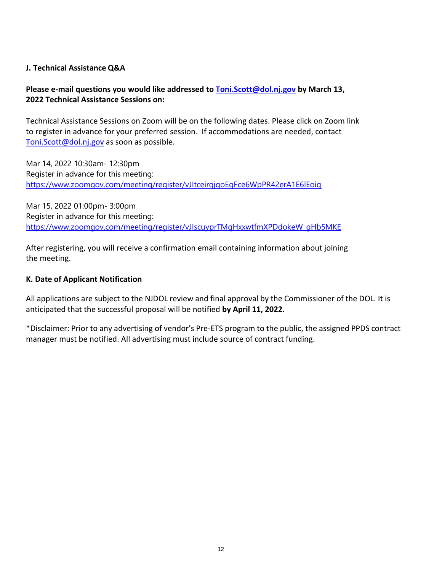## **J. Technical Assistance Q&A**

## **Please e-mail questions you would like addressed to [Toni.Scott@dol.nj.gov](mailto:Toni.Scott@dol.nj.gov) by March 13, 2022 Technical Assistance Sessions on:**

Technical Assistance Sessions on Zoom will be on the following dates. Please click on Zoom link to register in advance for your preferred session. If accommodations are needed, contact [Toni.Scott@dol.nj.gov](mailto:Toni.Scott@dol.nj.gov) as soon as possible.

Mar 14, 2022 10:30am- 12:30pm Register in advance for this meeting: <https://www.zoomgov.com/meeting/register/vJItceirqjgoEgFce6WpPR42erA1E6lEoig>

Mar 15, 2022 01:00pm- 3:00pm Register in advance for this meeting: [https://www.zoomgov.com/meeting/register/vJIscuyprTMqHxxwtfmXPDdokeW\\_gHb5MKE](https://www.zoomgov.com/meeting/register/vJIscuyprTMqHxxwtfmXPDdokeW_gHb5MKE)

After registering, you will receive a confirmation email containing information about joining the meeting.

## **K. Date of Applicant Notification**

All applications are subject to the NJDOL review and final approval by the Commissioner of the DOL. It is anticipated that the successful proposal will be notified **by April 11, 2022.**

\*Disclaimer: Prior to any advertising of vendor's Pre-ETS program to the public, the assigned PPDS contract manager must be notified. All advertising must include source of contract funding.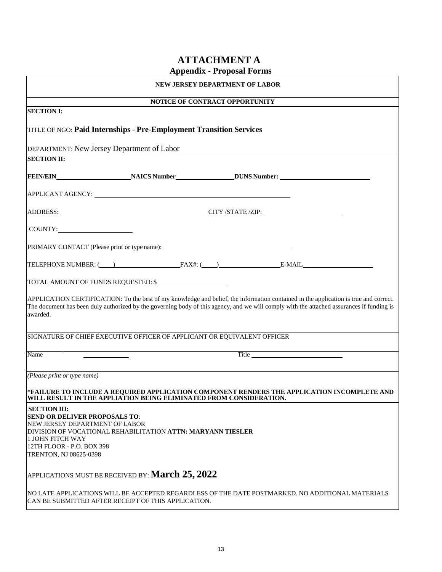## **ATTACHMENT A**

|                                                                                                                                                                                 |                                                                                  | <b>Appendix - Proposal Forms</b> |                                                                                                                                                                                                                                                                                   |
|---------------------------------------------------------------------------------------------------------------------------------------------------------------------------------|----------------------------------------------------------------------------------|----------------------------------|-----------------------------------------------------------------------------------------------------------------------------------------------------------------------------------------------------------------------------------------------------------------------------------|
| NEW JERSEY DEPARTMENT OF LABOR                                                                                                                                                  |                                                                                  |                                  |                                                                                                                                                                                                                                                                                   |
|                                                                                                                                                                                 |                                                                                  | NOTICE OF CONTRACT OPPORTUNITY   |                                                                                                                                                                                                                                                                                   |
| <b>SECTION I:</b>                                                                                                                                                               |                                                                                  |                                  |                                                                                                                                                                                                                                                                                   |
|                                                                                                                                                                                 | TITLE OF NGO: Paid Internships - Pre-Employment Transition Services              |                                  |                                                                                                                                                                                                                                                                                   |
| DEPARTMENT: New Jersey Department of Labor                                                                                                                                      |                                                                                  |                                  |                                                                                                                                                                                                                                                                                   |
| <b>SECTION II:</b>                                                                                                                                                              |                                                                                  |                                  |                                                                                                                                                                                                                                                                                   |
|                                                                                                                                                                                 |                                                                                  |                                  | <b>FEIN/EIN</b> NAICS Number DUNS Number:                                                                                                                                                                                                                                         |
|                                                                                                                                                                                 |                                                                                  |                                  |                                                                                                                                                                                                                                                                                   |
|                                                                                                                                                                                 |                                                                                  |                                  |                                                                                                                                                                                                                                                                                   |
| COUNTY:                                                                                                                                                                         |                                                                                  |                                  |                                                                                                                                                                                                                                                                                   |
|                                                                                                                                                                                 | PRIMARY CONTACT (Please print or type name): ___________________________________ |                                  |                                                                                                                                                                                                                                                                                   |
|                                                                                                                                                                                 |                                                                                  |                                  |                                                                                                                                                                                                                                                                                   |
|                                                                                                                                                                                 | TOTAL AMOUNT OF FUNDS REQUESTED: \$                                              |                                  |                                                                                                                                                                                                                                                                                   |
| awarded.                                                                                                                                                                        |                                                                                  |                                  | APPLICATION CERTIFICATION: To the best of my knowledge and belief, the information contained in the application is true and correct.<br>The document has been duly authorized by the governing body of this agency, and we will comply with the attached assurances if funding is |
|                                                                                                                                                                                 | SIGNATURE OF CHIEF EXECUTIVE OFFICER OF APPLICANT OR EQUIVALENT OFFICER          |                                  |                                                                                                                                                                                                                                                                                   |
|                                                                                                                                                                                 |                                                                                  |                                  |                                                                                                                                                                                                                                                                                   |
| Name                                                                                                                                                                            |                                                                                  |                                  |                                                                                                                                                                                                                                                                                   |
| (Please print or type name)                                                                                                                                                     |                                                                                  |                                  |                                                                                                                                                                                                                                                                                   |
|                                                                                                                                                                                 | WILL RESULT IN THE APPLIATION BEING ELIMINATED FROM CONSIDERATION.               |                                  | *FAILURE TO INCLUDE A REQUIRED APPLICATION COMPONENT RENDERS THE APPLICATION INCOMPLETE AND                                                                                                                                                                                       |
| <b>SECTION III:</b><br><b>SEND OR DELIVER PROPOSALS TO:</b><br>NEW JERSEY DEPARTMENT OF LABOR<br><b>1 JOHN FITCH WAY</b><br>12TH FLOOR - P.O. BOX 398<br>TRENTON, NJ 08625-0398 | DIVISION OF VOCATIONAL REHABILITATION <b>ATTN: MARYANN TIESLER</b>               |                                  |                                                                                                                                                                                                                                                                                   |
|                                                                                                                                                                                 | applications must be received by: <b>March 25, 2022</b>                          |                                  |                                                                                                                                                                                                                                                                                   |
|                                                                                                                                                                                 | CAN BE SUBMITTED AFTER RECEIPT OF THIS APPLICATION.                              |                                  | NO LATE APPLICATIONS WILL BE ACCEPTED REGARDLESS OF THE DATE POSTMARKED. NO ADDITIONAL MATERIALS                                                                                                                                                                                  |
|                                                                                                                                                                                 |                                                                                  |                                  |                                                                                                                                                                                                                                                                                   |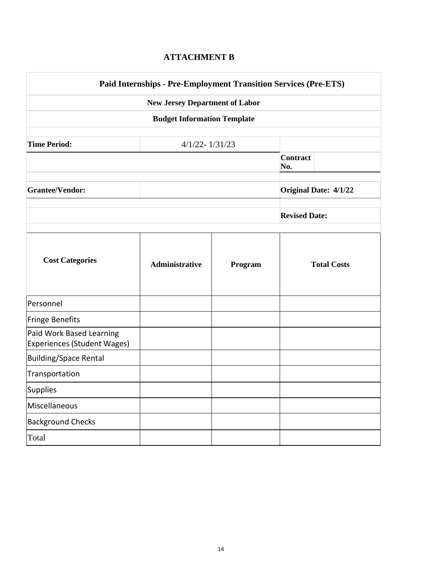## **ATTACHMENT B**

 $\overline{\phantom{a}}$ 

|                                                                |                                       |         | <b>Paid Internships - Pre-Employment Transition Services (Pre-ETS)</b> |
|----------------------------------------------------------------|---------------------------------------|---------|------------------------------------------------------------------------|
|                                                                | <b>New Jersey Department of Labor</b> |         |                                                                        |
|                                                                | <b>Budget Information Template</b>    |         |                                                                        |
| <b>Time Period:</b>                                            | $4/1/22 - 1/31/23$                    |         |                                                                        |
|                                                                |                                       |         | <b>Contract</b><br>No.                                                 |
| <b>Grantee/Vendor:</b>                                         | <b>Original Date: 4/1/22</b>          |         |                                                                        |
|                                                                |                                       |         | <b>Revised Date:</b>                                                   |
| <b>Cost Categories</b>                                         | <b>Administrative</b>                 | Program | <b>Total Costs</b>                                                     |
| Personnel                                                      |                                       |         |                                                                        |
| Fringe Benefits                                                |                                       |         |                                                                        |
| Paid Work Based Learning<br><b>Experiences (Student Wages)</b> |                                       |         |                                                                        |
| <b>Building/Space Rental</b>                                   |                                       |         |                                                                        |
| Transportation                                                 |                                       |         |                                                                        |
| Supplies                                                       |                                       |         |                                                                        |
| Miscellaneous                                                  |                                       |         |                                                                        |
| <b>Background Checks</b>                                       |                                       |         |                                                                        |
| Total                                                          |                                       |         |                                                                        |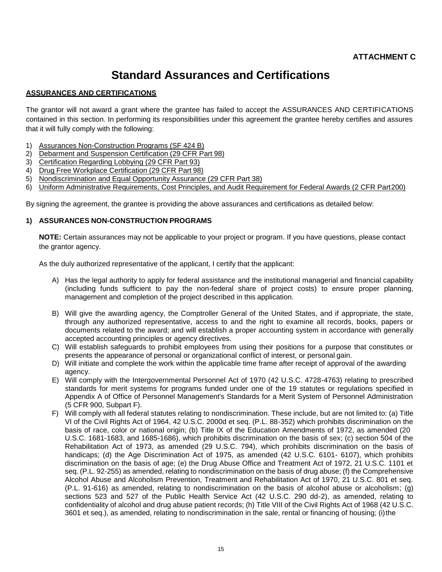## **Standard Assurances and Certifications**

#### **ASSURANCES AND CERTIFICATIONS**

The grantor will not award a grant where the grantee has failed to accept the ASSURANCES AND CERTIFICATIONS contained in this section. In performing its responsibilities under this agreement the grantee hereby certifies and assures that it will fully comply with the following:

- 1) Assurances Non-Construction Programs (SF 424 B)
- 2) Debarment and Suspension Certification (29 CFR Part 98)
- 3) Certification Regarding Lobbying (29 CFR Part 93)
- 4) Drug Free Workplace Certification (29 CFR Part 98)
- 5) Nondiscrimination and Equal Opportunity Assurance (29 CFR Part 38)
- 6) Uniform Administrative Requirements, Cost Principles, and Audit Requirement for Federal Awards (2 CFR Part200)

By signing the agreement, the grantee is providing the above assurances and certifications as detailed below:

#### **1) ASSURANCES NON-CONSTRUCTION PROGRAMS**

**NOTE:** Certain assurances may not be applicable to your project or program. If you have questions, please contact the grantor agency.

As the duly authorized representative of the applicant, I certify that the applicant:

- A) Has the legal authority to apply for federal assistance and the institutional managerial and financial capability (including funds sufficient to pay the non-federal share of project costs) to ensure proper planning, management and completion of the project described in this application.
- B) Will give the awarding agency, the Comptroller General of the United States, and if appropriate, the state, through any authorized representative, access to and the right to examine all records, books, papers or documents related to the award; and will establish a proper accounting system in accordance with generally accepted accounting principles or agency directives.
- C) Will establish safeguards to prohibit employees from using their positions for a purpose that constitutes or presents the appearance of personal or organizational conflict of interest, or personal gain.
- D) Will initiate and complete the work within the applicable time frame after receipt of approval of the awarding agency.
- E) Will comply with the Intergovernmental Personnel Act of 1970 (42 U.S.C. 4728-4763) relating to prescribed standards for merit systems for programs funded under one of the 19 statutes or regulations specified in Appendix A of Office of Personnel Management's Standards for a Merit System of Personnel Administration (5 CFR 900, Subpart F).
- F) Will comply with all federal statutes relating to nondiscrimination. These include, but are not limited to: (a) Title VI of the Civil Rights Act of 1964, 42 U.S.C. 2000d et seq. (P.L. 88-352) which prohibits discrimination on the basis of race, color or national origin; (b) Title IX of the Education Amendments of 1972, as amended (20 U.S.C. 1681-1683, and 1685-1686), which prohibits discrimination on the basis of sex; (c) section 504 of the Rehabilitation Act of 1973, as amended (29 U.S.C. 794), which prohibits discrimination on the basis of handicaps; (d) the Age Discrimination Act of 1975, as amended (42 U.S.C. 6101- 6107), which prohibits discrimination on the basis of age; (e) the Drug Abuse Office and Treatment Act of 1972, 21 U.S.C. 1101 et seq. (P.L. 92-255) as amended, relating to nondiscrimination on the basis of drug abuse; (f) the Comprehensive Alcohol Abuse and Alcoholism Prevention, Treatment and Rehabilitation Act of 1970, 21 U.S.C. 801 et seq. (P.L. 91-616) as amended, relating to nondiscrimination on the basis of alcohol abuse or alcoholism; (g) sections 523 and 527 of the Public Health Service Act (42 U.S.C. 290 dd-2), as amended, relating to confidentiality of alcohol and drug abuse patient records; (h) Title VIII of the Civil Rights Act of 1968 (42 U.S.C. 3601 et seq.), as amended, relating to nondiscrimination in the sale, rental or financing of housing; (i)the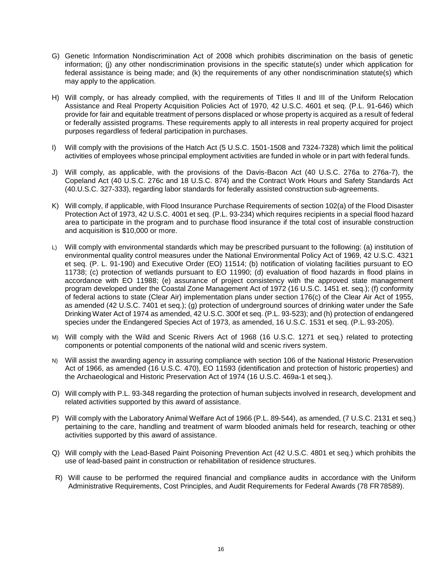- G) Genetic Information Nondiscrimination Act of 2008 which prohibits discrimination on the basis of genetic information; (j) any other nondiscrimination provisions in the specific statute(s) under which application for federal assistance is being made; and (k) the requirements of any other nondiscrimination statute(s) which may apply to the application.
- H) Will comply, or has already complied, with the requirements of Titles II and III of the Uniform Relocation Assistance and Real Property Acquisition Policies Act of 1970, 42 U.S.C. 4601 et seq. (P.L. 91-646) which provide for fair and equitable treatment of persons displaced or whose property is acquired as a result of federal or federally assisted programs. These requirements apply to all interests in real property acquired for project purposes regardless of federal participation in purchases.
- I) Will comply with the provisions of the Hatch Act (5 U.S.C. 1501-1508 and 7324-7328) which limit the political activities of employees whose principal employment activities are funded in whole or in part with federal funds.
- J) Will comply, as applicable, with the provisions of the Davis-Bacon Act (40 U.S.C. 276a to 276a-7), the Copeland Act (40 U.S.C. 276c and 18 U.S.C. 874) and the Contract Work Hours and Safety Standards Act (40.U.S.C. 327-333), regarding labor standards for federally assisted construction sub-agreements.
- K) Will comply, if applicable, with Flood Insurance Purchase Requirements of section 102(a) of the Flood Disaster Protection Act of 1973, 42 U.S.C. 4001 et seq. (P.L. 93-234) which requires recipients in a special flood hazard area to participate in the program and to purchase flood insurance if the total cost of insurable construction and acquisition is \$10,000 or more.
- L) Will comply with environmental standards which may be prescribed pursuant to the following: (a) institution of environmental quality control measures under the National Environmental Policy Act of 1969, 42 U.S.C. 4321 et seq. (P. L. 91-190) and Executive Order (EO) 11514; (b) notification of violating facilities pursuant to EO 11738; (c) protection of wetlands pursuant to EO 11990; (d) evaluation of flood hazards in flood plains in accordance with EO 11988; (e) assurance of project consistency with the approved state management program developed under the Coastal Zone Management Act of 1972 (16 U.S.C. 1451 et. seq.); (f) conformity of federal actions to state (Clear Air) implementation plans under section 176(c) of the Clear Air Act of 1955, as amended (42 U.S.C. 7401 et seq.); (g) protection of underground sources of drinking water under the Safe Drinking Water Act of 1974 as amended, 42 U.S.C. 300f et seq. (P.L. 93-523); and (h) protection of endangered species under the Endangered Species Act of 1973, as amended, 16 U.S.C. 1531 et seq. (P.L. 93-205).
- M) Will comply with the Wild and Scenic Rivers Act of 1968 (16 U.S.C. 1271 et seq.) related to protecting components or potential components of the national wild and scenic rivers system.
- N) Will assist the awarding agency in assuring compliance with section 106 of the National Historic Preservation Act of 1966, as amended (16 U.S.C. 470), EO 11593 (identification and protection of historic properties) and the Archaeological and Historic Preservation Act of 1974 (16 U.S.C. 469a-1 et seq.).
- O) Will comply with P.L. 93-348 regarding the protection of human subjects involved in research, development and related activities supported by this award of assistance.
- P) Will comply with the Laboratory Animal Welfare Act of 1966 (P.L. 89-544), as amended, (7 U.S.C. 2131 et seq.) pertaining to the care, handling and treatment of warm blooded animals held for research, teaching or other activities supported by this award of assistance.
- Q) Will comply with the Lead-Based Paint Poisoning Prevention Act (42 U.S.C. 4801 et seq.) which prohibits the use of lead-based paint in construction or rehabilitation of residence structures.
- R) Will cause to be performed the required financial and compliance audits in accordance with the Uniform Administrative Requirements, Cost Principles, and Audit Requirements for Federal Awards (78 FR78589).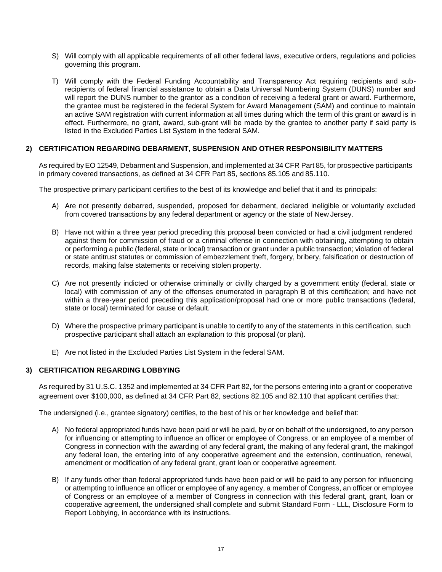- S) Will comply with all applicable requirements of all other federal laws, executive orders, regulations and policies governing this program.
- T) Will comply with the Federal Funding Accountability and Transparency Act requiring recipients and subrecipients of federal financial assistance to obtain a Data Universal Numbering System (DUNS) number and will report the DUNS number to the grantor as a condition of receiving a federal grant or award. Furthermore, the grantee must be registered in the federal System for Award Management (SAM) and continue to maintain an active SAM registration with current information at all times during which the term of this grant or award is in effect. Furthermore, no grant, award, sub-grant will be made by the grantee to another party if said party is listed in the Excluded Parties List System in the federal SAM.

#### **2) CERTIFICATION REGARDING DEBARMENT, SUSPENSION AND OTHER RESPONSIBILITY MATTERS**

As required byEO 12549, Debarment and Suspension, and implemented at 34 CFR Part 85, for prospective participants in primary covered transactions, as defined at 34 CFR Part 85, sections 85.105 and 85.110.

The prospective primary participant certifies to the best of its knowledge and belief that it and its principals:

- A) Are not presently debarred, suspended, proposed for debarment, declared ineligible or voluntarily excluded from covered transactions by any federal department or agency or the state of New Jersey.
- B) Have not within a three year period preceding this proposal been convicted or had a civil judgment rendered against them for commission of fraud or a criminal offense in connection with obtaining, attempting to obtain or performing a public (federal, state or local) transaction or grant under a public transaction; violation of federal or state antitrust statutes or commission of embezzlement theft, forgery, bribery, falsification or destruction of records, making false statements or receiving stolen property.
- C) Are not presently indicted or otherwise criminally or civilly charged by a government entity (federal, state or local) with commission of any of the offenses enumerated in paragraph B of this certification; and have not within a three-year period preceding this application/proposal had one or more public transactions (federal, state or local) terminated for cause or default.
- D) Where the prospective primary participant is unable to certify to any of the statements in this certification, such prospective participant shall attach an explanation to this proposal (or plan).
- E) Are not listed in the Excluded Parties List System in the federal SAM.

#### **3) CERTIFICATION REGARDING LOBBYING**

As required by 31 U.S.C. 1352 and implemented at 34 CFR Part 82, for the persons entering into a grant or cooperative agreement over \$100,000, as defined at 34 CFR Part 82, sections 82.105 and 82.110 that applicant certifies that:

The undersigned (i.e., grantee signatory) certifies, to the best of his or her knowledge and belief that:

- A) No federal appropriated funds have been paid or will be paid, by or on behalf of the undersigned, to any person for influencing or attempting to influence an officer or employee of Congress, or an employee of a member of Congress in connection with the awarding of any federal grant, the making of any federal grant, the makingof any federal loan, the entering into of any cooperative agreement and the extension, continuation, renewal, amendment or modification of any federal grant, grant loan or cooperative agreement.
- B) If any funds other than federal appropriated funds have been paid or will be paid to any person for influencing or attempting to influence an officer or employee of any agency, a member of Congress, an officer or employee of Congress or an employee of a member of Congress in connection with this federal grant, grant, loan or cooperative agreement, the undersigned shall complete and submit Standard Form - LLL, Disclosure Form to Report Lobbying, in accordance with its instructions.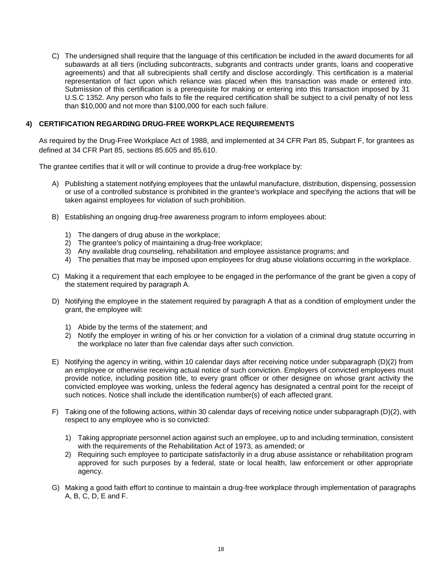C) The undersigned shall require that the language of this certification be included in the award documents for all subawards at all tiers (including subcontracts, subgrants and contracts under grants, loans and cooperative agreements) and that all subrecipients shall certify and disclose accordingly. This certification is a material representation of fact upon which reliance was placed when this transaction was made or entered into. Submission of this certification is a prerequisite for making or entering into this transaction imposed by 31 U.S.C 1352. Any person who fails to file the required certification shall be subject to a civil penalty of not less than \$10,000 and not more than \$100,000 for each such failure.

#### **4) CERTIFICATION REGARDING DRUG-FREE WORKPLACE REQUIREMENTS**

As required by the Drug-Free Workplace Act of 1988, and implemented at 34 CFR Part 85, Subpart F, for grantees as defined at 34 CFR Part 85, sections 85.605 and 85.610.

The grantee certifies that it will or will continue to provide a drug-free workplace by:

- A) Publishing a statement notifying employees that the unlawful manufacture, distribution, dispensing, possession or use of a controlled substance is prohibited in the grantee's workplace and specifying the actions that will be taken against employees for violation of such prohibition.
- B) Establishing an ongoing drug-free awareness program to inform employees about:
	- 1) The dangers of drug abuse in the workplace;
	- 2) The grantee's policy of maintaining a drug-free workplace;
	- 3) Any available drug counseling, rehabilitation and employee assistance programs; and
	- 4) The penalties that may be imposed upon employees for drug abuse violations occurring in the workplace.
- C) Making it a requirement that each employee to be engaged in the performance of the grant be given a copy of the statement required by paragraph A.
- D) Notifying the employee in the statement required by paragraph A that as a condition of employment under the grant, the employee will:
	- 1) Abide by the terms of the statement; and
	- 2) Notify the employer in writing of his or her conviction for a violation of a criminal drug statute occurring in the workplace no later than five calendar days after such conviction.
- E) Notifying the agency in writing, within 10 calendar days after receiving notice under subparagraph (D)(2) from an employee or otherwise receiving actual notice of such conviction. Employers of convicted employees must provide notice, including position title, to every grant officer or other designee on whose grant activity the convicted employee was working, unless the federal agency has designated a central point for the receipt of such notices. Notice shall include the identification number(s) of each affected grant.
- F) Taking one of the following actions, within 30 calendar days of receiving notice under subparagraph (D)(2), with respect to any employee who is so convicted:
	- 1) Taking appropriate personnel action against such an employee, up to and including termination, consistent with the requirements of the Rehabilitation Act of 1973, as amended; or
	- 2) Requiring such employee to participate satisfactorily in a drug abuse assistance or rehabilitation program approved for such purposes by a federal, state or local health, law enforcement or other appropriate agency.
- G) Making a good faith effort to continue to maintain a drug-free workplace through implementation of paragraphs A, B, C, D, E and F.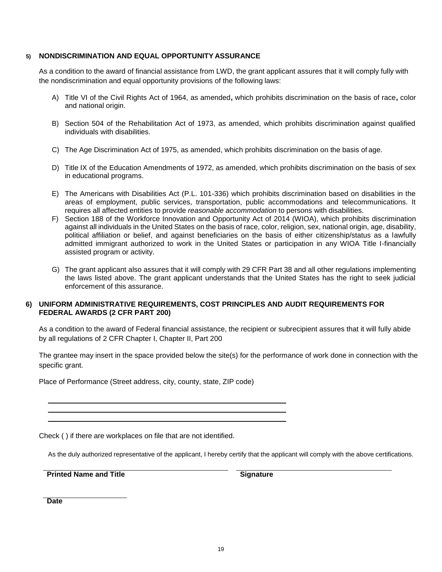#### **5) NONDISCRIMINATION AND EQUAL OPPORTUNITY ASSURANCE**

As a condition to the award of financial assistance from LWD, the grant applicant assures that it will comply fully with the nondiscrimination and equal opportunity provisions of the following laws:

- A) Title VI of the Civil Rights Act of 1964, as amended**,** which prohibits discrimination on the basis of race**,** color and national origin.
- B) Section 504 of the Rehabilitation Act of 1973, as amended, which prohibits discrimination against qualified individuals with disabilities.
- C) The Age Discrimination Act of 1975, as amended, which prohibits discrimination on the basis of age.
- D) Title IX of the Education Amendments of 1972, as amended, which prohibits discrimination on the basis of sex in educational programs.
- E) The Americans with Disabilities Act (P.L. 101-336) which prohibits discrimination based on disabilities in the areas of employment, public services, transportation, public accommodations and telecommunications. It requires all affected entities to provide *reasonable accommodation* to persons with disabilities.
- F) Section 188 of the Workforce Innovation and Opportunity Act of 2014 (WIOA), which prohibits discrimination against all individuals in the United States on the basis of race, color, religion, sex, national origin, age, disability, political affiliation or belief, and against beneficiaries on the basis of either citizenship/status as a lawfully admitted immigrant authorized to work in the United States or participation in any WIOA Title I-financially assisted program or activity.
- G) The grant applicant also assures that it will comply with 29 CFR Part 38 and all other regulations implementing the laws listed above. The grant applicant understands that the United States has the right to seek judicial enforcement of this assurance.

#### **6) UNIFORM ADMINISTRATIVE REQUIREMENTS, COST PRINCIPLES AND AUDIT REQUIREMENTS FOR FEDERAL AWARDS (2 CFR PART 200)**

As a condition to the award of Federal financial assistance, the recipient or subrecipient assures that it will fully abide by all regulations of 2 CFR Chapter I, Chapter II, Part 200

The grantee may insert in the space provided below the site(s) for the performance of work done in connection with the specific grant.

Place of Performance (Street address, city, county, state, ZIP code)

Check ( ) if there are workplaces on file that are not identified.

As the duly authorized representative of the applicant, I hereby certify that the applicant will comply with the above certifications.

**Printed Name and Title <b>Signature Signature** 

**Date**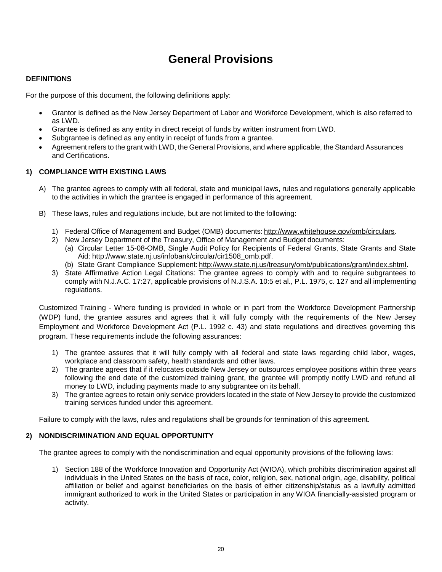## **General Provisions**

#### **DEFINITIONS**

For the purpose of this document, the following definitions apply:

- Grantor is defined as the New Jersey Department of Labor and Workforce Development, which is also referred to as LWD.
- Grantee is defined as any entity in direct receipt of funds by written instrument from LWD.
- Subgrantee is defined as any entity in receipt of funds from a grantee.
- Agreement refers to the grant with LWD, the General Provisions, and where applicable, the Standard Assurances and Certifications.

#### **1) COMPLIANCE WITH EXISTING LAWS**

- A) The grantee agrees to comply with all federal, state and municipal laws, rules and regulations generally applicable to the activities in which the grantee is engaged in performance of this agreement.
- B) These laws, rules and regulations include, but are not limited to the following:
	- 1) Federal Office of Management and Budget (OMB) documents: [http://www.whitehouse.gov/omb/circulars.](http://www.whitehouse.gov/omb/circulars)
	- 2) New Jersey Department of the Treasury, Office of Management and Budget documents:
		- (a) Circular Letter 15-08-OMB, Single Audit Policy for Recipients of Federal Grants, State Grants and State Aid: [http://www.state.nj.us/infobank/circular/cir1508\\_omb.pdf.](http://www.state.nj.us/infobank/circular/cir1508_omb.pdf)
		- (b) State Grant Compliance Supplement: [http://www.state.nj.us/treasury/omb/publications/grant/index.shtml.](http://www.state.nj.us/treasury/omb/publications/grant/index.shtml)
	- 3) State Affirmative Action Legal Citations: The grantee agrees to comply with and to require subgrantees to comply with N.J.A.C. 17:27, applicable provisions of N.J.S.A. 10:5 et al., P.L. 1975, c. 127 and all implementing regulations.

Customized Training - Where funding is provided in whole or in part from the Workforce Development Partnership (WDP) fund, the grantee assures and agrees that it will fully comply with the requirements of the New Jersey Employment and Workforce Development Act (P.L. 1992 c. 43) and state regulations and directives governing this program. These requirements include the following assurances:

- 1) The grantee assures that it will fully comply with all federal and state laws regarding child labor, wages, workplace and classroom safety, health standards and other laws.
- 2) The grantee agrees that if it relocates outside New Jersey or outsources employee positions within three years following the end date of the customized training grant, the grantee will promptly notify LWD and refund all money to LWD, including payments made to any subgrantee on its behalf.
- 3) The grantee agrees to retain only service providers located in the state of New Jersey to provide the customized training services funded under this agreement.

Failure to comply with the laws, rules and regulations shall be grounds for termination of this agreement.

#### **2) NONDISCRIMINATION AND EQUAL OPPORTUNITY**

The grantee agrees to comply with the nondiscrimination and equal opportunity provisions of the following laws:

1) Section 188 of the Workforce Innovation and Opportunity Act (WIOA), which prohibits discrimination against all individuals in the United States on the basis of race, color, religion, sex, national origin, age, disability, political affiliation or belief and against beneficiaries on the basis of either citizenship/status as a lawfully admitted immigrant authorized to work in the United States or participation in any WIOA financially-assisted program or activity.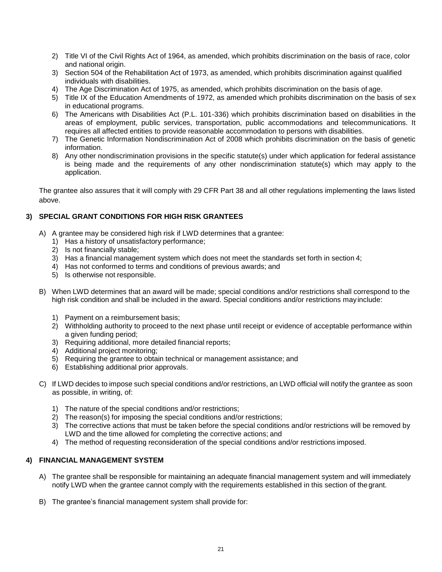- 2) Title VI of the Civil Rights Act of 1964, as amended, which prohibits discrimination on the basis of race, color and national origin.
- 3) Section 504 of the Rehabilitation Act of 1973, as amended, which prohibits discrimination against qualified individuals with disabilities.
- 4) The Age Discrimination Act of 1975, as amended, which prohibits discrimination on the basis of age.
- 5) Title IX of the Education Amendments of 1972, as amended which prohibits discrimination on the basis of sex in educational programs.
- 6) The Americans with Disabilities Act (P.L. 101-336) which prohibits discrimination based on disabilities in the areas of employment, public services, transportation, public accommodations and telecommunications. It requires all affected entities to provide reasonable accommodation to persons with disabilities.
- 7) The Genetic Information Nondiscrimination Act of 2008 which prohibits discrimination on the basis of genetic information.
- 8) Any other nondiscrimination provisions in the specific statute(s) under which application for federal assistance is being made and the requirements of any other nondiscrimination statute(s) which may apply to the application.

The grantee also assures that it will comply with 29 CFR Part 38 and all other regulations implementing the laws listed above.

## **3) SPECIAL GRANT CONDITIONS FOR HIGH RISK GRANTEES**

- A) A grantee may be considered high risk if LWD determines that a grantee:
	- 1) Has a history of unsatisfactory performance;
	- 2) Is not financially stable;
	- 3) Has a financial management system which does not meet the standards set forth in section 4;
	- 4) Has not conformed to terms and conditions of previous awards; and
	- 5) Is otherwise not responsible.
- B) When LWD determines that an award will be made; special conditions and/or restrictions shall correspond to the high risk condition and shall be included in the award. Special conditions and/or restrictions mayinclude:
	- 1) Payment on a reimbursement basis;
	- 2) Withholding authority to proceed to the next phase until receipt or evidence of acceptable performance within a given funding period;
	- 3) Requiring additional, more detailed financial reports;
	- 4) Additional project monitoring;
	- 5) Requiring the grantee to obtain technical or management assistance; and
	- 6) Establishing additional prior approvals.
- C) If LWD decides to impose such special conditions and/or restrictions, an LWD official will notify the grantee as soon as possible, in writing, of:
	- 1) The nature of the special conditions and/or restrictions;
	- 2) The reason(s) for imposing the special conditions and/or restrictions;
	- 3) The corrective actions that must be taken before the special conditions and/or restrictions will be removed by LWD and the time allowed for completing the corrective actions; and
	- 4) The method of requesting reconsideration of the special conditions and/or restrictions imposed.

#### **4) FINANCIAL MANAGEMENT SYSTEM**

- A) The grantee shall be responsible for maintaining an adequate financial management system and will immediately notify LWD when the grantee cannot comply with the requirements established in this section of thegrant.
- B) The grantee's financial management system shall provide for: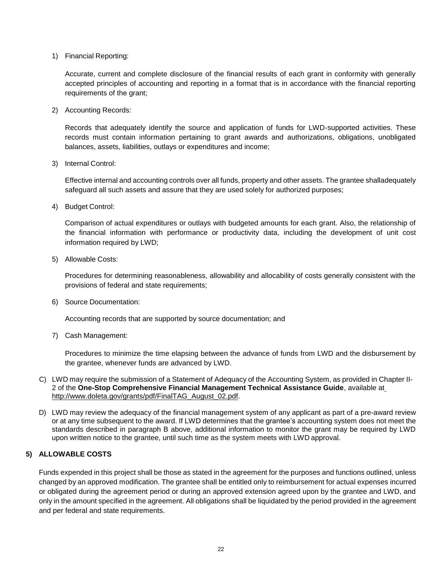1) Financial Reporting:

Accurate, current and complete disclosure of the financial results of each grant in conformity with generally accepted principles of accounting and reporting in a format that is in accordance with the financial reporting requirements of the grant;

2) Accounting Records:

Records that adequately identify the source and application of funds for LWD-supported activities. These records must contain information pertaining to grant awards and authorizations, obligations, unobligated balances, assets, liabilities, outlays or expenditures and income;

3) Internal Control:

Effective internal and accounting controls over all funds, property and other assets. The grantee shalladequately safeguard all such assets and assure that they are used solely for authorized purposes;

4) Budget Control:

Comparison of actual expenditures or outlays with budgeted amounts for each grant. Also, the relationship of the financial information with performance or productivity data, including the development of unit cost information required by LWD;

5) Allowable Costs:

Procedures for determining reasonableness, allowability and allocability of costs generally consistent with the provisions of federal and state requirements;

6) Source Documentation:

Accounting records that are supported by source documentation; and

7) Cash Management:

Procedures to minimize the time elapsing between the advance of funds from LWD and the disbursement by the grantee, whenever funds are advanced by LWD.

- C) LWD may require the submission of a Statement of Adequacy of the Accounting System, as provided in Chapter II-2 of the **One-Stop Comprehensive Financial Management Technical Assistance Guide**, available at [http://www.doleta.gov/grants/pdf/FinalTAG\\_August\\_02.pdf.](http://www.doleta.gov/grants/pdf/FinalTAG_August_02.pdf)
- D) LWD may review the adequacy of the financial management system of any applicant as part of a pre-award review or at any time subsequent to the award. If LWD determines that the grantee's accounting system does not meet the standards described in paragraph B above, additional information to monitor the grant may be required by LWD upon written notice to the grantee, until such time as the system meets with LWD approval.

#### **5) ALLOWABLE COSTS**

Funds expended in this project shall be those as stated in the agreement for the purposes and functions outlined, unless changed by an approved modification. The grantee shall be entitled only to reimbursement for actual expenses incurred or obligated during the agreement period or during an approved extension agreed upon by the grantee and LWD, and only in the amount specified in the agreement. All obligations shall be liquidated by the period provided in the agreement and per federal and state requirements.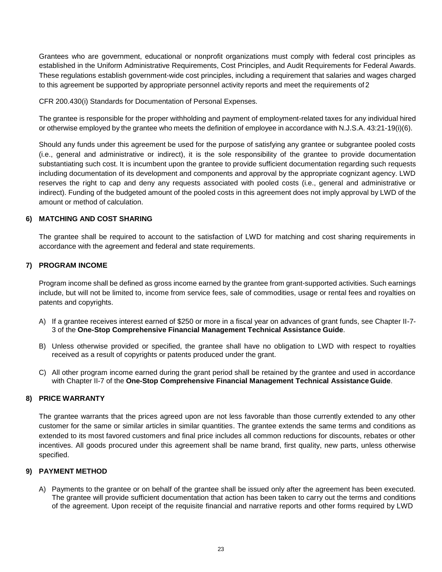Grantees who are government, educational or nonprofit organizations must comply with federal cost principles as established in the Uniform Administrative Requirements, Cost Principles, and Audit Requirements for Federal Awards. These regulations establish government-wide cost principles, including a requirement that salaries and wages charged to this agreement be supported by appropriate personnel activity reports and meet the requirements of 2

CFR 200.430(i) Standards for Documentation of Personal Expenses.

The grantee is responsible for the proper withholding and payment of employment-related taxes for any individual hired or otherwise employed by the grantee who meets the definition of employee in accordance with N.J.S.A. 43:21-19(i)(6).

Should any funds under this agreement be used for the purpose of satisfying any grantee or subgrantee pooled costs (i.e., general and administrative or indirect), it is the sole responsibility of the grantee to provide documentation substantiating such cost. It is incumbent upon the grantee to provide sufficient documentation regarding such requests including documentation of its development and components and approval by the appropriate cognizant agency. LWD reserves the right to cap and deny any requests associated with pooled costs (i.e., general and administrative or indirect). Funding of the budgeted amount of the pooled costs in this agreement does not imply approval by LWD of the amount or method of calculation.

#### **6) MATCHING AND COST SHARING**

The grantee shall be required to account to the satisfaction of LWD for matching and cost sharing requirements in accordance with the agreement and federal and state requirements.

#### **7) PROGRAM INCOME**

Program income shall be defined as gross income earned by the grantee from grant-supported activities. Such earnings include, but will not be limited to, income from service fees, sale of commodities, usage or rental fees and royalties on patents and copyrights.

- A) If a grantee receives interest earned of \$250 or more in a fiscal year on advances of grant funds, see Chapter II-7- 3 of the **One-Stop Comprehensive Financial Management Technical Assistance Guide**.
- B) Unless otherwise provided or specified, the grantee shall have no obligation to LWD with respect to royalties received as a result of copyrights or patents produced under the grant.
- C) All other program income earned during the grant period shall be retained by the grantee and used in accordance with Chapter II-7 of the **One-Stop Comprehensive Financial Management Technical Assistance Guide**.

#### **8) PRICE WARRANTY**

The grantee warrants that the prices agreed upon are not less favorable than those currently extended to any other customer for the same or similar articles in similar quantities. The grantee extends the same terms and conditions as extended to its most favored customers and final price includes all common reductions for discounts, rebates or other incentives. All goods procured under this agreement shall be name brand, first quality, new parts, unless otherwise specified.

#### **9) PAYMENT METHOD**

A) Payments to the grantee or on behalf of the grantee shall be issued only after the agreement has been executed. The grantee will provide sufficient documentation that action has been taken to carry out the terms and conditions of the agreement. Upon receipt of the requisite financial and narrative reports and other forms required by LWD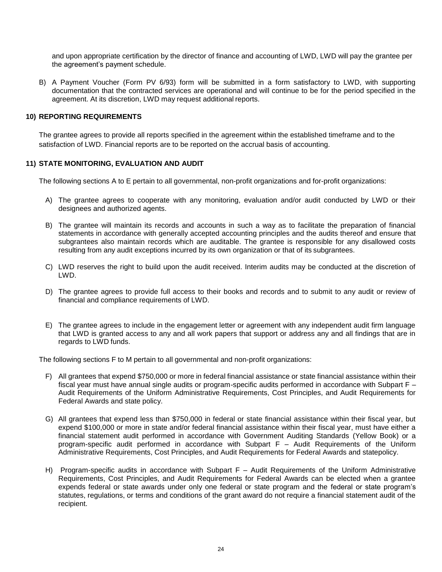and upon appropriate certification by the director of finance and accounting of LWD, LWD will pay the grantee per the agreement's payment schedule.

B) A Payment Voucher (Form PV 6/93) form will be submitted in a form satisfactory to LWD, with supporting documentation that the contracted services are operational and will continue to be for the period specified in the agreement. At its discretion, LWD may request additional reports.

#### **10) REPORTING REQUIREMENTS**

The grantee agrees to provide all reports specified in the agreement within the established timeframe and to the satisfaction of LWD. Financial reports are to be reported on the accrual basis of accounting.

#### **11) STATE MONITORING, EVALUATION AND AUDIT**

The following sections A to E pertain to all governmental, non-profit organizations and for-profit organizations:

- A) The grantee agrees to cooperate with any monitoring, evaluation and/or audit conducted by LWD or their designees and authorized agents.
- B) The grantee will maintain its records and accounts in such a way as to facilitate the preparation of financial statements in accordance with generally accepted accounting principles and the audits thereof and ensure that subgrantees also maintain records which are auditable. The grantee is responsible for any disallowed costs resulting from any audit exceptions incurred by its own organization or that of its subgrantees.
- C) LWD reserves the right to build upon the audit received. Interim audits may be conducted at the discretion of LWD.
- D) The grantee agrees to provide full access to their books and records and to submit to any audit or review of financial and compliance requirements of LWD.
- E) The grantee agrees to include in the engagement letter or agreement with any independent audit firm language that LWD is granted access to any and all work papers that support or address any and all findings that are in regards to LWD funds.

The following sections F to M pertain to all governmental and non-profit organizations:

- F) All grantees that expend \$750,000 or more in federal financial assistance or state financial assistance within their fiscal year must have annual single audits or program-specific audits performed in accordance with Subpart F – Audit Requirements of the Uniform Administrative Requirements, Cost Principles, and Audit Requirements for Federal Awards and state policy.
- G) All grantees that expend less than \$750,000 in federal or state financial assistance within their fiscal year, but expend \$100,000 or more in state and/or federal financial assistance within their fiscal year, must have either a financial statement audit performed in accordance with Government Auditing Standards (Yellow Book) or a program-specific audit performed in accordance with Subpart F – Audit Requirements of the Uniform Administrative Requirements, Cost Principles, and Audit Requirements for Federal Awards and statepolicy.
- H) Program-specific audits in accordance with Subpart F Audit Requirements of the Uniform Administrative Requirements, Cost Principles, and Audit Requirements for Federal Awards can be elected when a grantee expends federal or state awards under only one federal or state program and the federal or state program's statutes, regulations, or terms and conditions of the grant award do not require a financial statement audit of the recipient.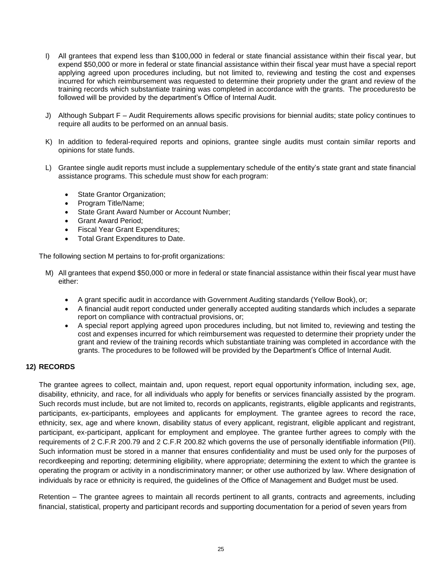- I) All grantees that expend less than \$100,000 in federal or state financial assistance within their fiscal year, but expend \$50,000 or more in federal or state financial assistance within their fiscal year must have a special report applying agreed upon procedures including, but not limited to, reviewing and testing the cost and expenses incurred for which reimbursement was requested to determine their propriety under the grant and review of the training records which substantiate training was completed in accordance with the grants. The proceduresto be followed will be provided by the department's Office of Internal Audit.
- J) Although Subpart F Audit Requirements allows specific provisions for biennial audits; state policy continues to require all audits to be performed on an annual basis.
- K) In addition to federal-required reports and opinions, grantee single audits must contain similar reports and opinions for state funds.
- L) Grantee single audit reports must include a supplementary schedule of the entity's state grant and state financial assistance programs. This schedule must show for each program:
	- State Grantor Organization;
	- Program Title/Name;
	- State Grant Award Number or Account Number;
	- Grant Award Period;
	- Fiscal Year Grant Expenditures;
	- Total Grant Expenditures to Date.

The following section M pertains to for-profit organizations:

- M) All grantees that expend \$50,000 or more in federal or state financial assistance within their fiscal year must have either:
	- A grant specific audit in accordance with Government Auditing standards (Yellow Book), or;
	- A financial audit report conducted under generally accepted auditing standards which includes a separate report on compliance with contractual provisions, or;
	- A special report applying agreed upon procedures including, but not limited to, reviewing and testing the cost and expenses incurred for which reimbursement was requested to determine their propriety under the grant and review of the training records which substantiate training was completed in accordance with the grants. The procedures to be followed will be provided by the Department's Office of Internal Audit.

## **12) RECORDS**

The grantee agrees to collect, maintain and, upon request, report equal opportunity information, including sex, age, disability, ethnicity, and race, for all individuals who apply for benefits or services financially assisted by the program. Such records must include, but are not limited to, records on applicants, registrants, eligible applicants and registrants, participants, ex-participants, employees and applicants for employment. The grantee agrees to record the race, ethnicity, sex, age and where known, disability status of every applicant, registrant, eligible applicant and registrant, participant, ex-participant, applicant for employment and employee. The grantee further agrees to comply with the requirements of 2 C.F.R 200.79 and 2 C.F.R 200.82 which governs the use of personally identifiable information (PII). Such information must be stored in a manner that ensures confidentiality and must be used only for the purposes of recordkeeping and reporting; determining eligibility, where appropriate; determining the extent to which the grantee is operating the program or activity in a nondiscriminatory manner; or other use authorized by law. Where designation of individuals by race or ethnicity is required, the guidelines of the Office of Management and Budget must be used.

Retention – The grantee agrees to maintain all records pertinent to all grants, contracts and agreements, including financial, statistical, property and participant records and supporting documentation for a period of seven years from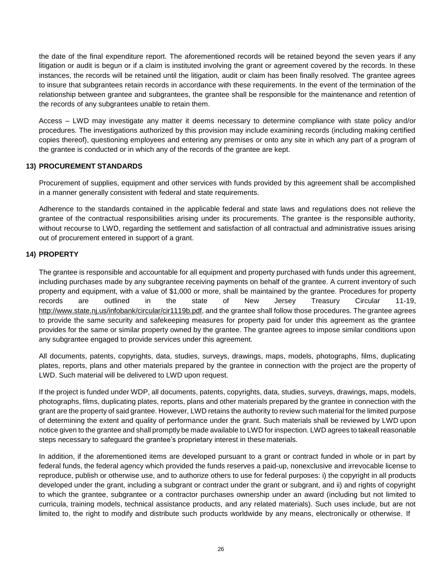the date of the final expenditure report. The aforementioned records will be retained beyond the seven years if any litigation or audit is begun or if a claim is instituted involving the grant or agreement covered by the records. In these instances, the records will be retained until the litigation, audit or claim has been finally resolved. The grantee agrees to insure that subgrantees retain records in accordance with these requirements. In the event of the termination of the relationship between grantee and subgrantees, the grantee shall be responsible for the maintenance and retention of the records of any subgrantees unable to retain them.

Access – LWD may investigate any matter it deems necessary to determine compliance with state policy and/or procedures. The investigations authorized by this provision may include examining records (including making certified copies thereof), questioning employees and entering any premises or onto any site in which any part of a program of the grantee is conducted or in which any of the records of the grantee are kept.

#### **13) PROCUREMENT STANDARDS**

Procurement of supplies, equipment and other services with funds provided by this agreement shall be accomplished in a manner generally consistent with federal and state requirements.

Adherence to the standards contained in the applicable federal and state laws and regulations does not relieve the grantee of the contractual responsibilities arising under its procurements. The grantee is the responsible authority, without recourse to LWD, regarding the settlement and satisfaction of all contractual and administrative issues arising out of procurement entered in support of a grant.

#### **14) PROPERTY**

The grantee is responsible and accountable for all equipment and property purchased with funds under this agreement, including purchases made by any subgrantee receiving payments on behalf of the grantee. A current inventory of such property and equipment, with a value of \$1,000 or more, shall be maintained by the grantee. Procedures for property records are outlined in the state of New Jersey Treasury Circular 11-19, [http://www.state.nj.us/infobank/circular/cir1119b.pdf,](http://www.state.nj.us/infobank/circular/cir1119b.pdf) and the grantee shall follow those procedures. The grantee agrees to provide the same security and safekeeping measures for property paid for under this agreement as the grantee provides for the same or similar property owned by the grantee. The grantee agrees to impose similar conditions upon any subgrantee engaged to provide services under this agreement.

All documents, patents, copyrights, data, studies, surveys, drawings, maps, models, photographs, films, duplicating plates, reports, plans and other materials prepared by the grantee in connection with the project are the property of LWD. Such material will be delivered to LWD upon request.

If the project is funded under WDP, all documents, patents, copyrights, data, studies, surveys, drawings, maps, models, photographs, films, duplicating plates, reports, plans and other materials prepared by the grantee in connection with the grant are the property of said grantee. However, LWD retains the authority to review such material for the limited purpose of determining the extent and quality of performance under the grant. Such materials shall be reviewed by LWD upon notice given to the grantee and shall promptly be made available to LWD for inspection. LWD agrees to takeall reasonable steps necessary to safeguard the grantee's proprietary interest in these materials.

In addition, if the aforementioned items are developed pursuant to a grant or contract funded in whole or in part by federal funds, the federal agency which provided the funds reserves a paid-up, nonexclusive and irrevocable license to reproduce, publish or otherwise use, and to authorize others to use for federal purposes: i) the copyright in all products developed under the grant, including a subgrant or contract under the grant or subgrant, and ii) and rights of copyright to which the grantee, subgrantee or a contractor purchases ownership under an award (including but not limited to curricula, training models, technical assistance products, and any related materials). Such uses include, but are not limited to, the right to modify and distribute such products worldwide by any means, electronically or otherwise. If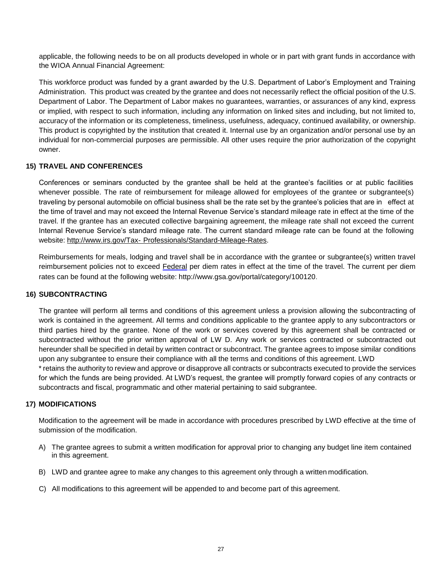applicable, the following needs to be on all products developed in whole or in part with grant funds in accordance with the WIOA Annual Financial Agreement:

This workforce product was funded by a grant awarded by the U.S. Department of Labor's Employment and Training Administration. This product was created by the grantee and does not necessarily reflect the official position of the U.S. Department of Labor. The Department of Labor makes no guarantees, warranties, or assurances of any kind, express or implied, with respect to such information, including any information on linked sites and including, but not limited to, accuracy of the information or its completeness, timeliness, usefulness, adequacy, continued availability, or ownership. This product is copyrighted by the institution that created it. Internal use by an organization and/or personal use by an individual for non-commercial purposes are permissible. All other uses require the prior authorization of the copyright owner.

#### **15) TRAVEL AND CONFERENCES**

Conferences or seminars conducted by the grantee shall be held at the grantee's facilities or at public facilities whenever possible. The rate of reimbursement for mileage allowed for employees of the grantee or subgrantee(s) traveling by personal automobile on official business shall be the rate set by the grantee's policies that are in effect at the time of travel and may not exceed the Internal Revenue Service's standard mileage rate in effect at the time of the travel. If the grantee has an executed collective bargaining agreement, the mileage rate shall not exceed the current Internal Revenue Service's standard mileage rate. The current standard mileage rate can be found at the following website: [http://www.irs.gov/Tax-](http://www.irs.gov/Tax-Professionals/Standard-Mileage-Rates) [Professionals/Standard-Mileage-Rates.](http://www.irs.gov/Tax-Professionals/Standard-Mileage-Rates)

Reimbursements for meals, lodging and travel shall be in accordance with the grantee or subgrantee(s) written travel reimbursement policies not to exceed Federal per diem rates in effect at the time of the travel. The current per diem rates can be found at the following website: <http://www.gsa.gov/portal/category/100120>.

#### **16) SUBCONTRACTING**

The grantee will perform all terms and conditions of this agreement unless a provision allowing the subcontracting of work is contained in the agreement. All terms and conditions applicable to the grantee apply to any subcontractors or third parties hired by the grantee. None of the work or services covered by this agreement shall be contracted or subcontracted without the prior written approval of LW D. Any work or services contracted or subcontracted out hereunder shall be specified in detail by written contract or subcontract. The grantee agrees to impose similar conditions upon any subgrantee to ensure their compliance with all the terms and conditions of this agreement. LWD

\* retains the authority to review and approve or disapprove all contracts or subcontracts executed to provide the services for which the funds are being provided. At LWD's request, the grantee will promptly forward copies of any contracts or subcontracts and fiscal, programmatic and other material pertaining to said subgrantee.

#### **17) MODIFICATIONS**

Modification to the agreement will be made in accordance with procedures prescribed by LWD effective at the time of submission of the modification.

- A) The grantee agrees to submit a written modification for approval prior to changing any budget line item contained in this agreement.
- B) LWD and grantee agree to make any changes to this agreement only through a written modification.
- C) All modifications to this agreement will be appended to and become part of this agreement.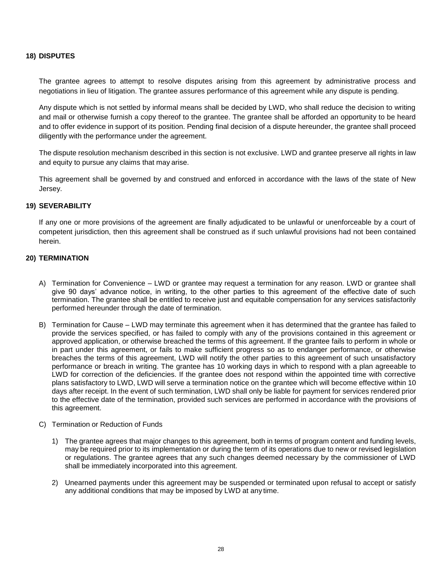#### **18) DISPUTES**

The grantee agrees to attempt to resolve disputes arising from this agreement by administrative process and negotiations in lieu of litigation. The grantee assures performance of this agreement while any dispute is pending.

Any dispute which is not settled by informal means shall be decided by LWD, who shall reduce the decision to writing and mail or otherwise furnish a copy thereof to the grantee. The grantee shall be afforded an opportunity to be heard and to offer evidence in support of its position. Pending final decision of a dispute hereunder, the grantee shall proceed diligently with the performance under the agreement.

The dispute resolution mechanism described in this section is not exclusive. LWD and grantee preserve all rights in law and equity to pursue any claims that may arise.

This agreement shall be governed by and construed and enforced in accordance with the laws of the state of New Jersey.

#### **19) SEVERABILITY**

If any one or more provisions of the agreement are finally adjudicated to be unlawful or unenforceable by a court of competent jurisdiction, then this agreement shall be construed as if such unlawful provisions had not been contained herein.

#### **20) TERMINATION**

- A) Termination for Convenience LWD or grantee may request a termination for any reason. LWD or grantee shall give 90 days' advance notice, in writing, to the other parties to this agreement of the effective date of such termination. The grantee shall be entitled to receive just and equitable compensation for any services satisfactorily performed hereunder through the date of termination.
- B) Termination for Cause LWD may terminate this agreement when it has determined that the grantee has failed to provide the services specified, or has failed to comply with any of the provisions contained in this agreement or approved application, or otherwise breached the terms of this agreement. If the grantee fails to perform in whole or in part under this agreement, or fails to make sufficient progress so as to endanger performance, or otherwise breaches the terms of this agreement, LWD will notify the other parties to this agreement of such unsatisfactory performance or breach in writing. The grantee has 10 working days in which to respond with a plan agreeable to LWD for correction of the deficiencies. If the grantee does not respond within the appointed time with corrective plans satisfactory to LWD, LWD will serve a termination notice on the grantee which will become effective within 10 days after receipt. In the event of such termination, LWD shall only be liable for payment for services rendered prior to the effective date of the termination, provided such services are performed in accordance with the provisions of this agreement.
- C) Termination or Reduction of Funds
	- 1) The grantee agrees that major changes to this agreement, both in terms of program content and funding levels, may be required prior to its implementation or during the term of its operations due to new or revised legislation or regulations. The grantee agrees that any such changes deemed necessary by the commissioner of LWD shall be immediately incorporated into this agreement.
	- 2) Unearned payments under this agreement may be suspended or terminated upon refusal to accept or satisfy any additional conditions that may be imposed by LWD at any time.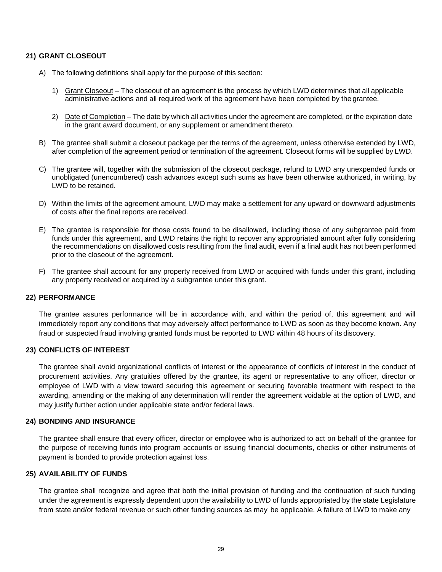#### **21) GRANT CLOSEOUT**

- A) The following definitions shall apply for the purpose of this section:
	- 1) Grant Closeout The closeout of an agreement is the process by which LWD determines that all applicable administrative actions and all required work of the agreement have been completed by the grantee.
	- 2) Date of Completion The date by which all activities under the agreement are completed, or the expiration date in the grant award document, or any supplement or amendment thereto.
- B) The grantee shall submit a closeout package per the terms of the agreement, unless otherwise extended by LWD, after completion of the agreement period or termination of the agreement. Closeout forms will be supplied by LWD.
- C) The grantee will, together with the submission of the closeout package, refund to LWD any unexpended funds or unobligated (unencumbered) cash advances except such sums as have been otherwise authorized, in writing, by LWD to be retained.
- D) Within the limits of the agreement amount, LWD may make a settlement for any upward or downward adjustments of costs after the final reports are received.
- E) The grantee is responsible for those costs found to be disallowed, including those of any subgrantee paid from funds under this agreement, and LWD retains the right to recover any appropriated amount after fully considering the recommendations on disallowed costs resulting from the final audit, even if a final audit has not been performed prior to the closeout of the agreement.
- F) The grantee shall account for any property received from LWD or acquired with funds under this grant, including any property received or acquired by a subgrantee under this grant.

#### **22) PERFORMANCE**

The grantee assures performance will be in accordance with, and within the period of, this agreement and will immediately report any conditions that may adversely affect performance to LWD as soon as they become known. Any fraud or suspected fraud involving granted funds must be reported to LWD within 48 hours of its discovery.

#### **23) CONFLICTS OF INTEREST**

The grantee shall avoid organizational conflicts of interest or the appearance of conflicts of interest in the conduct of procurement activities. Any gratuities offered by the grantee, its agent or representative to any officer, director or employee of LWD with a view toward securing this agreement or securing favorable treatment with respect to the awarding, amending or the making of any determination will render the agreement voidable at the option of LWD, and may justify further action under applicable state and/or federal laws.

#### **24) BONDING AND INSURANCE**

The grantee shall ensure that every officer, director or employee who is authorized to act on behalf of the grantee for the purpose of receiving funds into program accounts or issuing financial documents, checks or other instruments of payment is bonded to provide protection against loss.

#### **25) AVAILABILITY OF FUNDS**

The grantee shall recognize and agree that both the initial provision of funding and the continuation of such funding under the agreement is expressly dependent upon the availability to LWD of funds appropriated by the state Legislature from state and/or federal revenue or such other funding sources as may be applicable. A failure of LWD to make any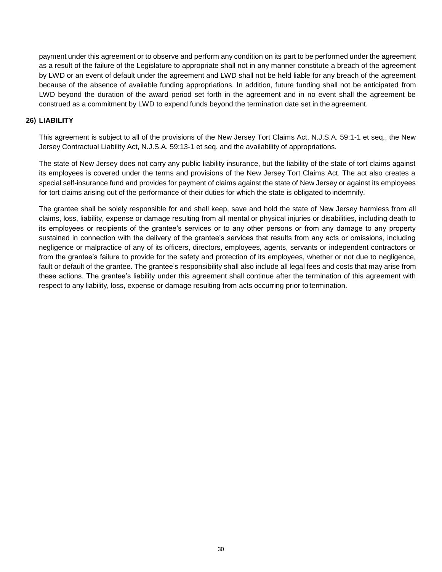payment under this agreement or to observe and perform any condition on its part to be performed under the agreement as a result of the failure of the Legislature to appropriate shall not in any manner constitute a breach of the agreement by LWD or an event of default under the agreement and LWD shall not be held liable for any breach of the agreement because of the absence of available funding appropriations. In addition, future funding shall not be anticipated from LWD beyond the duration of the award period set forth in the agreement and in no event shall the agreement be construed as a commitment by LWD to expend funds beyond the termination date set in the agreement.

#### **26) LIABILITY**

This agreement is subject to all of the provisions of the New Jersey Tort Claims Act, N.J.S.A. 59:1-1 et seq., the New Jersey Contractual Liability Act, N.J.S.A. 59:13-1 et seq. and the availability of appropriations.

The state of New Jersey does not carry any public liability insurance, but the liability of the state of tort claims against its employees is covered under the terms and provisions of the New Jersey Tort Claims Act. The act also creates a special self-insurance fund and provides for payment of claims against the state of New Jersey or against its employees for tort claims arising out of the performance of their duties for which the state is obligated to indemnify.

The grantee shall be solely responsible for and shall keep, save and hold the state of New Jersey harmless from all claims, loss, liability, expense or damage resulting from all mental or physical injuries or disabilities, including death to its employees or recipients of the grantee's services or to any other persons or from any damage to any property sustained in connection with the delivery of the grantee's services that results from any acts or omissions, including negligence or malpractice of any of its officers, directors, employees, agents, servants or independent contractors or from the grantee's failure to provide for the safety and protection of its employees, whether or not due to negligence, fault or default of the grantee. The grantee's responsibility shall also include all legal fees and costs that may arise from these actions. The grantee's liability under this agreement shall continue after the termination of this agreement with respect to any liability, loss, expense or damage resulting from acts occurring prior to termination.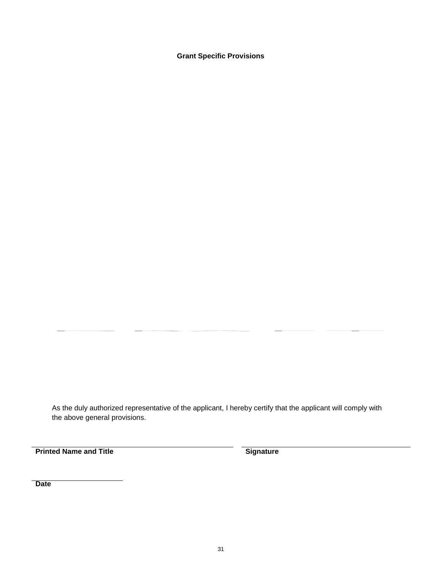**Grant Specific Provisions**

As the duly authorized representative of the applicant, I hereby certify that the applicant will comply with the above general provisions.

**Printed Name and Title <b>Signature Signature** 

**Date**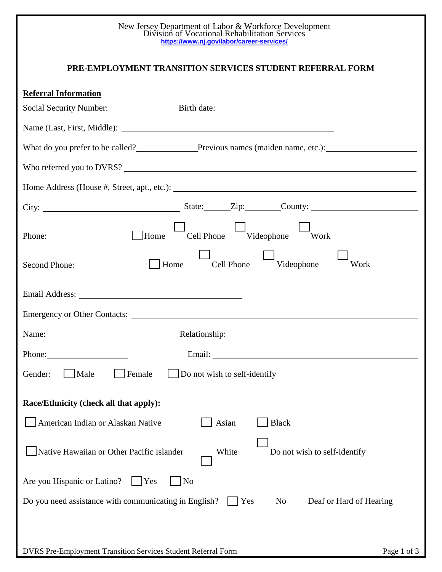| New Jersey Department of Labor & Workforce Development<br>Division of Vocational Rehabilitation Services<br>https://www.nj.gov/labor/career-services/                                                                          |
|--------------------------------------------------------------------------------------------------------------------------------------------------------------------------------------------------------------------------------|
| PRE-EMPLOYMENT TRANSITION SERVICES STUDENT REFERRAL FORM                                                                                                                                                                       |
| <b>Referral Information</b>                                                                                                                                                                                                    |
|                                                                                                                                                                                                                                |
|                                                                                                                                                                                                                                |
| What do you prefer to be called?<br>Previous names (maiden name, etc.):                                                                                                                                                        |
| Who referred you to DVRS?                                                                                                                                                                                                      |
|                                                                                                                                                                                                                                |
|                                                                                                                                                                                                                                |
| Cell Phone Videophone Work                                                                                                                                                                                                     |
| $\Box$<br>Videophone<br>Work                                                                                                                                                                                                   |
| Email Address: No. 2014 19:30 and 2014 19:30 and 20:30 and 20:30 and 20:30 and 20:30 and 20:30 and 20:30 and 20:30 and 20:30 and 20:30 and 20:30 and 20:30 and 20:30 and 20:30 and 20:30 and 20:30 and 20:30 and 20:30 and 20: |
|                                                                                                                                                                                                                                |
| Relationship:<br>Name:                                                                                                                                                                                                         |
| Phone:                                                                                                                                                                                                                         |
| Male<br>Female<br>Do not wish to self-identify<br>Gender:                                                                                                                                                                      |
| Race/Ethnicity (check all that apply):                                                                                                                                                                                         |
| American Indian or Alaskan Native<br><b>Black</b><br>Asian                                                                                                                                                                     |
| Native Hawaiian or Other Pacific Islander<br>White<br>Do not wish to self-identify                                                                                                                                             |
| Are you Hispanic or Latino?<br> No<br><b>Yes</b>                                                                                                                                                                               |
| Do you need assistance with communicating in English?<br>No<br>Deaf or Hard of Hearing<br>Yes                                                                                                                                  |
| DVRS Pre-Employment Transition Services Student Referral Form<br>Page 1 of 3                                                                                                                                                   |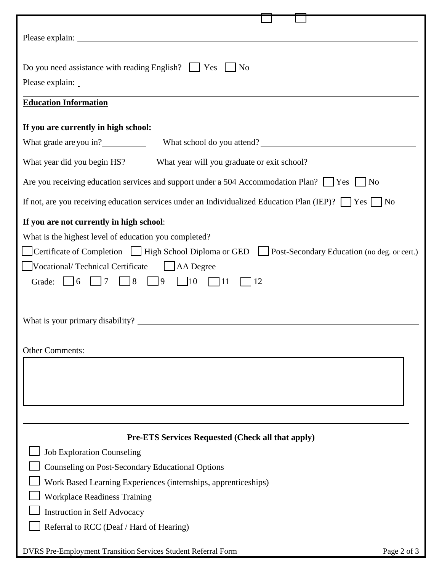| Please explain:                                                                                                                                                                                                                                                                                                                                                                       |
|---------------------------------------------------------------------------------------------------------------------------------------------------------------------------------------------------------------------------------------------------------------------------------------------------------------------------------------------------------------------------------------|
| Do you need assistance with reading English? $\Box$ Yes $\Box$ No<br>Please explain:                                                                                                                                                                                                                                                                                                  |
| <b>Education Information</b>                                                                                                                                                                                                                                                                                                                                                          |
| If you are currently in high school:                                                                                                                                                                                                                                                                                                                                                  |
|                                                                                                                                                                                                                                                                                                                                                                                       |
|                                                                                                                                                                                                                                                                                                                                                                                       |
| What year did you begin HS?______What year will you graduate or exit school? __________                                                                                                                                                                                                                                                                                               |
| Are you receiving education services and support under a 504 Accommodation Plan? $\Box$ Yes $\Box$ No                                                                                                                                                                                                                                                                                 |
| If not, are you receiving education services under an Individualized Education Plan (IEP)? $\Box$ Yes $\Box$ No                                                                                                                                                                                                                                                                       |
| If you are not currently in high school:<br>What is the highest level of education you completed?<br>Certificate of Completion High School Diploma or GED Post-Secondary Education (no deg. or cert.)<br>Vocational/Technical Certificate   AA Degree<br>$\Box$ 8<br>$\Box$ 9<br>$\Box$ 10<br>$\vert$   7<br>$\Box$ 11<br>Grade: $\vert$ 6<br><sup>12</sup><br><b>Other Comments:</b> |
|                                                                                                                                                                                                                                                                                                                                                                                       |
|                                                                                                                                                                                                                                                                                                                                                                                       |
| <b>Pre-ETS Services Requested (Check all that apply)</b>                                                                                                                                                                                                                                                                                                                              |
| <b>Job Exploration Counseling</b>                                                                                                                                                                                                                                                                                                                                                     |
| Counseling on Post-Secondary Educational Options                                                                                                                                                                                                                                                                                                                                      |
| Work Based Learning Experiences (internships, apprenticeships)                                                                                                                                                                                                                                                                                                                        |
| <b>Workplace Readiness Training</b>                                                                                                                                                                                                                                                                                                                                                   |
| <b>Instruction in Self Advocacy</b>                                                                                                                                                                                                                                                                                                                                                   |
| Referral to RCC (Deaf / Hard of Hearing)                                                                                                                                                                                                                                                                                                                                              |
| DVRS Pre-Employment Transition Services Student Referral Form<br>Page 2 of 3                                                                                                                                                                                                                                                                                                          |